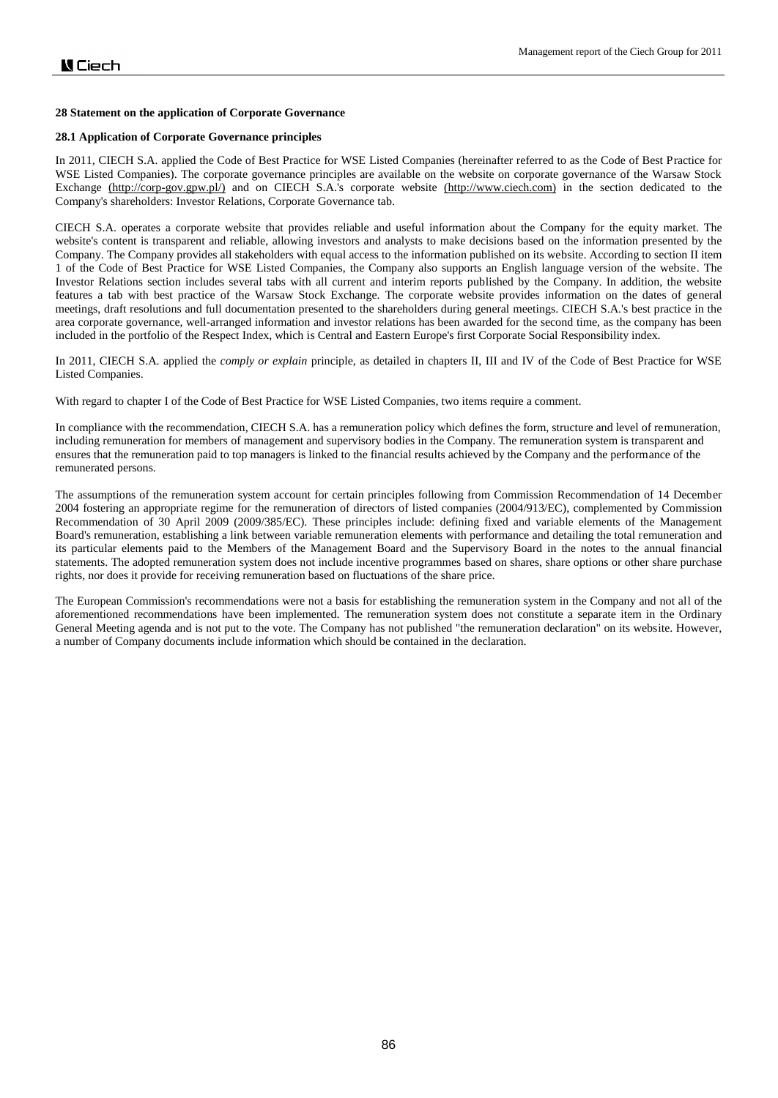### **28 Statement on the application of Corporate Governance**

### **28.1 Application of Corporate Governance principles**

In 2011, CIECH S.A. applied the Code of Best Practice for WSE Listed Companies (hereinafter referred to as the Code of Best Practice for WSE Listed Companies). The corporate governance principles are available on the website on corporate governance of the Warsaw Stock Exchange [\(http://corp-gov.gpw.pl/\)](http://corp-gov.gpw.pl/) and on CIECH S.A.'s corporate website [\(http://www.ciech.com\)](http://www.ciech.com/) in the section dedicated to the Company's shareholders: Investor Relations, Corporate Governance tab.

CIECH S.A. operates a corporate website that provides reliable and useful information about the Company for the equity market. The website's content is transparent and reliable, allowing investors and analysts to make decisions based on the information presented by the Company. The Company provides all stakeholders with equal access to the information published on its website. According to section II item 1 of the Code of Best Practice for WSE Listed Companies, the Company also supports an English language version of the website. The Investor Relations section includes several tabs with all current and interim reports published by the Company. In addition, the website features a tab with best practice of the Warsaw Stock Exchange. The corporate website provides information on the dates of general meetings, draft resolutions and full documentation presented to the shareholders during general meetings. CIECH S.A.'s best practice in the area corporate governance, well-arranged information and investor relations has been awarded for the second time, as the company has been included in the portfolio of the Respect Index, which is Central and Eastern Europe's first Corporate Social Responsibility index.

In 2011, CIECH S.A. applied the *comply or explain* principle, as detailed in chapters II, III and IV of the Code of Best Practice for WSE Listed Companies.

With regard to chapter I of the Code of Best Practice for WSE Listed Companies, two items require a comment.

In compliance with the recommendation, CIECH S.A. has a remuneration policy which defines the form, structure and level of remuneration, including remuneration for members of management and supervisory bodies in the Company. The remuneration system is transparent and ensures that the remuneration paid to top managers is linked to the financial results achieved by the Company and the performance of the remunerated persons.

The assumptions of the remuneration system account for certain principles following from Commission Recommendation of 14 December 2004 fostering an appropriate regime for the remuneration of directors of listed companies (2004/913/EC), complemented by Commission Recommendation of 30 April 2009 (2009/385/EC). These principles include: defining fixed and variable elements of the Management Board's remuneration, establishing a link between variable remuneration elements with performance and detailing the total remuneration and its particular elements paid to the Members of the Management Board and the Supervisory Board in the notes to the annual financial statements. The adopted remuneration system does not include incentive programmes based on shares, share options or other share purchase rights, nor does it provide for receiving remuneration based on fluctuations of the share price.

The European Commission's recommendations were not a basis for establishing the remuneration system in the Company and not all of the aforementioned recommendations have been implemented. The remuneration system does not constitute a separate item in the Ordinary General Meeting agenda and is not put to the vote. The Company has not published "the remuneration declaration" on its website. However, a number of Company documents include information which should be contained in the declaration.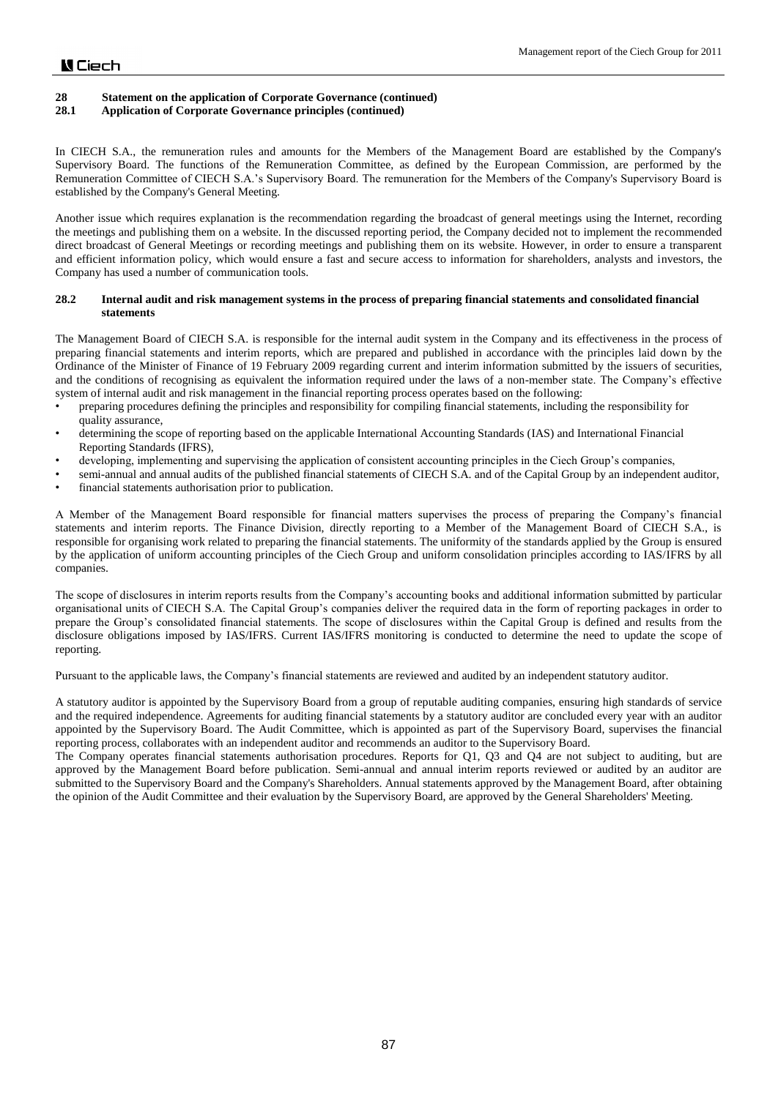## **28.1 Application of Corporate Governance principles (continued)**

In CIECH S.A., the remuneration rules and amounts for the Members of the Management Board are established by the Company's Supervisory Board. The functions of the Remuneration Committee, as defined by the European Commission, are performed by the Remuneration Committee of CIECH S.A.'s Supervisory Board. The remuneration for the Members of the Company's Supervisory Board is established by the Company's General Meeting.

Another issue which requires explanation is the recommendation regarding the broadcast of general meetings using the Internet, recording the meetings and publishing them on a website. In the discussed reporting period, the Company decided not to implement the recommended direct broadcast of General Meetings or recording meetings and publishing them on its website. However, in order to ensure a transparent and efficient information policy, which would ensure a fast and secure access to information for shareholders, analysts and investors, the Company has used a number of communication tools.

## **28.2 Internal audit and risk management systems in the process of preparing financial statements and consolidated financial statements**

The Management Board of CIECH S.A. is responsible for the internal audit system in the Company and its effectiveness in the process of preparing financial statements and interim reports, which are prepared and published in accordance with the principles laid down by the Ordinance of the Minister of Finance of 19 February 2009 regarding current and interim information submitted by the issuers of securities, and the conditions of recognising as equivalent the information required under the laws of a non-member state. The Company's effective system of internal audit and risk management in the financial reporting process operates based on the following:

- preparing procedures defining the principles and responsibility for compiling financial statements, including the responsibility for quality assurance,
- determining the scope of reporting based on the applicable International Accounting Standards (IAS) and International Financial Reporting Standards (IFRS),
- developing, implementing and supervising the application of consistent accounting principles in the Ciech Group's companies,
- semi-annual and annual audits of the published financial statements of CIECH S.A. and of the Capital Group by an independent auditor, financial statements authorisation prior to publication.

A Member of the Management Board responsible for financial matters supervises the process of preparing the Company's financial statements and interim reports. The Finance Division, directly reporting to a Member of the Management Board of CIECH S.A., is responsible for organising work related to preparing the financial statements. The uniformity of the standards applied by the Group is ensured by the application of uniform accounting principles of the Ciech Group and uniform consolidation principles according to IAS/IFRS by all companies.

The scope of disclosures in interim reports results from the Company's accounting books and additional information submitted by particular organisational units of CIECH S.A. The Capital Group's companies deliver the required data in the form of reporting packages in order to prepare the Group's consolidated financial statements. The scope of disclosures within the Capital Group is defined and results from the disclosure obligations imposed by IAS/IFRS. Current IAS/IFRS monitoring is conducted to determine the need to update the scope of reporting.

Pursuant to the applicable laws, the Company's financial statements are reviewed and audited by an independent statutory auditor.

A statutory auditor is appointed by the Supervisory Board from a group of reputable auditing companies, ensuring high standards of service and the required independence. Agreements for auditing financial statements by a statutory auditor are concluded every year with an auditor appointed by the Supervisory Board. The Audit Committee, which is appointed as part of the Supervisory Board, supervises the financial reporting process, collaborates with an independent auditor and recommends an auditor to the Supervisory Board.

The Company operates financial statements authorisation procedures. Reports for Q1, Q3 and Q4 are not subject to auditing, but are approved by the Management Board before publication. Semi-annual and annual interim reports reviewed or audited by an auditor are submitted to the Supervisory Board and the Company's Shareholders. Annual statements approved by the Management Board, after obtaining the opinion of the Audit Committee and their evaluation by the Supervisory Board, are approved by the General Shareholders' Meeting.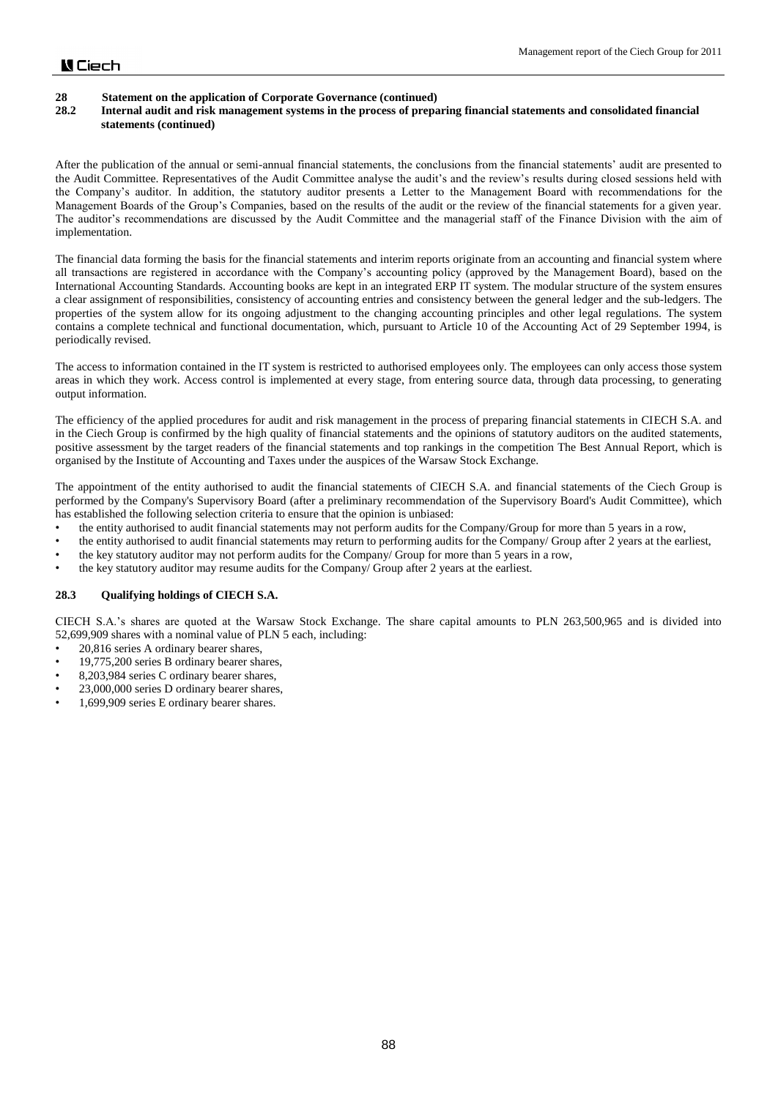# **28 Statement on the application of Corporate Governance (continued)**

## **28.2 Internal audit and risk management systems in the process of preparing financial statements and consolidated financial statements (continued)**

After the publication of the annual or semi-annual financial statements, the conclusions from the financial statements' audit are presented to the Audit Committee. Representatives of the Audit Committee analyse the audit's and the review's results during closed sessions held with the Company's auditor. In addition, the statutory auditor presents a Letter to the Management Board with recommendations for the Management Boards of the Group's Companies, based on the results of the audit or the review of the financial statements for a given year. The auditor's recommendations are discussed by the Audit Committee and the managerial staff of the Finance Division with the aim of implementation.

The financial data forming the basis for the financial statements and interim reports originate from an accounting and financial system where all transactions are registered in accordance with the Company's accounting policy (approved by the Management Board), based on the International Accounting Standards. Accounting books are kept in an integrated ERP IT system. The modular structure of the system ensures a clear assignment of responsibilities, consistency of accounting entries and consistency between the general ledger and the sub-ledgers. The properties of the system allow for its ongoing adjustment to the changing accounting principles and other legal regulations. The system contains a complete technical and functional documentation, which, pursuant to Article 10 of the Accounting Act of 29 September 1994, is periodically revised.

The access to information contained in the IT system is restricted to authorised employees only. The employees can only access those system areas in which they work. Access control is implemented at every stage, from entering source data, through data processing, to generating output information.

The efficiency of the applied procedures for audit and risk management in the process of preparing financial statements in CIECH S.A. and in the Ciech Group is confirmed by the high quality of financial statements and the opinions of statutory auditors on the audited statements, positive assessment by the target readers of the financial statements and top rankings in the competition The Best Annual Report, which is organised by the Institute of Accounting and Taxes under the auspices of the Warsaw Stock Exchange.

The appointment of the entity authorised to audit the financial statements of CIECH S.A. and financial statements of the Ciech Group is performed by the Company's Supervisory Board (after a preliminary recommendation of the Supervisory Board's Audit Committee), which has established the following selection criteria to ensure that the opinion is unbiased:

- the entity authorised to audit financial statements may not perform audits for the Company/Group for more than 5 years in a row,
- the entity authorised to audit financial statements may return to performing audits for the Company/ Group after 2 years at the earliest,
- the key statutory auditor may not perform audits for the Company/ Group for more than 5 years in a row,
- the key statutory auditor may resume audits for the Company/ Group after 2 years at the earliest.

## **28.3 Qualifying holdings of CIECH S.A.**

CIECH S.A.'s shares are quoted at the Warsaw Stock Exchange. The share capital amounts to PLN 263,500,965 and is divided into 52,699,909 shares with a nominal value of PLN 5 each, including:

- 20,816 series A ordinary bearer shares,
- 19,775,200 series B ordinary bearer shares,
- 8,203,984 series C ordinary bearer shares,
- 23,000,000 series D ordinary bearer shares,
- 1,699,909 series E ordinary bearer shares.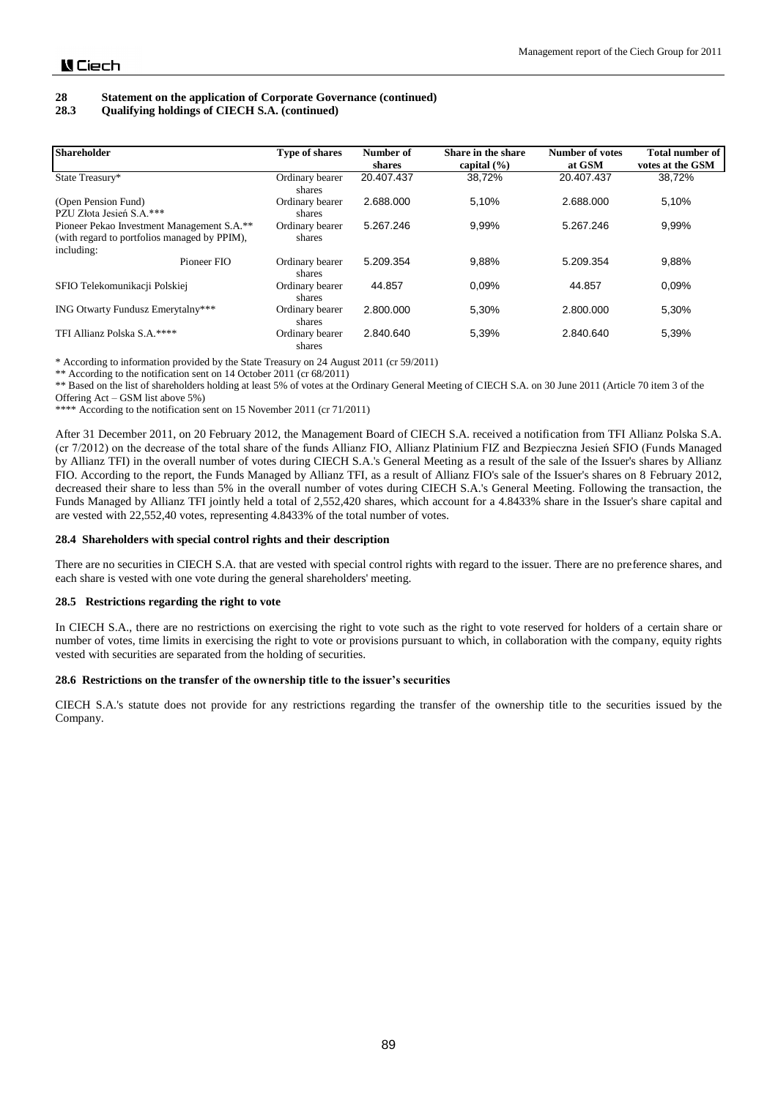# **28 Statement on the application of Corporate Governance (continued)**

## **28.3 Qualifying holdings of CIECH S.A. (continued)**

| <b>Shareholder</b>                                                                                       | <b>Type of shares</b>     | Number of<br>shares | Share in the share<br>capital $(\% )$ | <b>Number of votes</b><br>at GSM | <b>Total number of</b><br>votes at the GSM |
|----------------------------------------------------------------------------------------------------------|---------------------------|---------------------|---------------------------------------|----------------------------------|--------------------------------------------|
| State Treasury*                                                                                          | Ordinary bearer<br>shares | 20.407.437          | 38.72%                                | 20.407.437                       | 38.72%                                     |
| (Open Pension Fund)<br>PZU Złota Jesień S.A.***                                                          | Ordinary bearer<br>shares | 2.688.000           | 5.10%                                 | 2.688.000                        | 5,10%                                      |
| Pioneer Pekao Investment Management S.A.**<br>(with regard to portfolios managed by PPIM),<br>including: | Ordinary bearer<br>shares | 5.267.246           | 9.99%                                 | 5.267.246                        | 9,99%                                      |
| Pioneer FIO                                                                                              | Ordinary bearer<br>shares | 5.209.354           | 9.88%                                 | 5.209.354                        | 9,88%                                      |
| SFIO Telekomunikacji Polskiej                                                                            | Ordinary bearer<br>shares | 44.857              | 0.09%                                 | 44.857                           | 0.09%                                      |
| ING Otwarty Fundusz Emerytalny***                                                                        | Ordinary bearer<br>shares | 2.800.000           | 5.30%                                 | 2.800.000                        | 5,30%                                      |
| TFI Allianz Polska S.A.****                                                                              | Ordinary bearer<br>shares | 2.840.640           | 5,39%                                 | 2.840.640                        | 5,39%                                      |

\* According to information provided by the State Treasury on 24 August 2011 (cr 59/2011)

\*\* According to the notification sent on 14 October 2011 (cr 68/2011)

\*\* Based on the list of shareholders holding at least 5% of votes at the Ordinary General Meeting of CIECH S.A. on 30 June 2011 (Article 70 item 3 of the Offering Act – GSM list above 5%)

\*\*\*\* According to the notification sent on 15 November 2011 (cr 71/2011)

After 31 December 2011, on 20 February 2012, the Management Board of CIECH S.A. received a notification from TFI Allianz Polska S.A. (cr 7/2012) on the decrease of the total share of the funds Allianz FIO, Allianz Platinium FIZ and Bezpieczna Jesień SFIO (Funds Managed by Allianz TFI) in the overall number of votes during CIECH S.A.'s General Meeting as a result of the sale of the Issuer's shares by Allianz FIO. According to the report, the Funds Managed by Allianz TFI, as a result of Allianz FIO's sale of the Issuer's shares on 8 February 2012, decreased their share to less than 5% in the overall number of votes during CIECH S.A.'s General Meeting. Following the transaction, the Funds Managed by Allianz TFI jointly held a total of 2,552,420 shares, which account for a 4.8433% share in the Issuer's share capital and are vested with 22,552,40 votes, representing 4.8433% of the total number of votes.

### **28.4 Shareholders with special control rights and their description**

There are no securities in CIECH S.A. that are vested with special control rights with regard to the issuer. There are no preference shares, and each share is vested with one vote during the general shareholders' meeting.

#### **28.5 Restrictions regarding the right to vote**

In CIECH S.A., there are no restrictions on exercising the right to vote such as the right to vote reserved for holders of a certain share or number of votes, time limits in exercising the right to vote or provisions pursuant to which, in collaboration with the company, equity rights vested with securities are separated from the holding of securities.

## **28.6 Restrictions on the transfer of the ownership title to the issuer's securities**

CIECH S.A.'s statute does not provide for any restrictions regarding the transfer of the ownership title to the securities issued by the Company.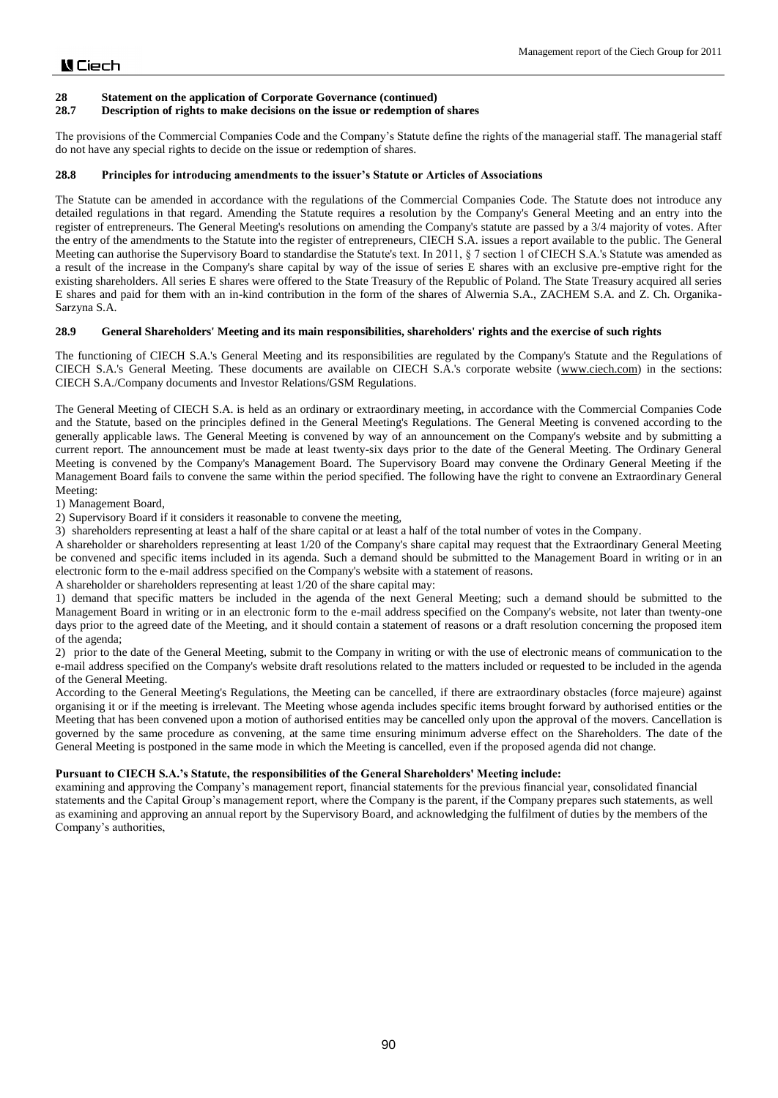## **28.7 Description of rights to make decisions on the issue or redemption of shares**

The provisions of the Commercial Companies Code and the Company's Statute define the rights of the managerial staff. The managerial staff do not have any special rights to decide on the issue or redemption of shares.

### **28.8 Principles for introducing amendments to the issuer's Statute or Articles of Associations**

The Statute can be amended in accordance with the regulations of the Commercial Companies Code. The Statute does not introduce any detailed regulations in that regard. Amending the Statute requires a resolution by the Company's General Meeting and an entry into the register of entrepreneurs. The General Meeting's resolutions on amending the Company's statute are passed by a 3/4 majority of votes. After the entry of the amendments to the Statute into the register of entrepreneurs, CIECH S.A. issues a report available to the public. The General Meeting can authorise the Supervisory Board to standardise the Statute's text. In 2011, § 7 section 1 of CIECH S.A.'s Statute was amended as a result of the increase in the Company's share capital by way of the issue of series E shares with an exclusive pre-emptive right for the existing shareholders. All series E shares were offered to the State Treasury of the Republic of Poland. The State Treasury acquired all series E shares and paid for them with an in-kind contribution in the form of the shares of Alwernia S.A., ZACHEM S.A. and Z. Ch. Organika-Sarzyna S.A.

### **28.9 General Shareholders' Meeting and its main responsibilities, shareholders' rights and the exercise of such rights**

The functioning of CIECH S.A.'s General Meeting and its responsibilities are regulated by the Company's Statute and the Regulations of CIECH S.A.'s General Meeting. These documents are available on CIECH S.A.'s corporate website [\(www.ciech.com\)](http://www.ciech.com/) in the sections: CIECH S.A./Company documents and Investor Relations/GSM Regulations.

The General Meeting of CIECH S.A. is held as an ordinary or extraordinary meeting, in accordance with the Commercial Companies Code and the Statute, based on the principles defined in the General Meeting's Regulations. The General Meeting is convened according to the generally applicable laws. The General Meeting is convened by way of an announcement on the Company's website and by submitting a current report. The announcement must be made at least twenty-six days prior to the date of the General Meeting. The Ordinary General Meeting is convened by the Company's Management Board. The Supervisory Board may convene the Ordinary General Meeting if the Management Board fails to convene the same within the period specified. The following have the right to convene an Extraordinary General Meeting:

1) Management Board,

2) Supervisory Board if it considers it reasonable to convene the meeting,

3) shareholders representing at least a half of the share capital or at least a half of the total number of votes in the Company.

A shareholder or shareholders representing at least 1/20 of the Company's share capital may request that the Extraordinary General Meeting be convened and specific items included in its agenda. Such a demand should be submitted to the Management Board in writing or in an electronic form to the e-mail address specified on the Company's website with a statement of reasons.

A shareholder or shareholders representing at least 1/20 of the share capital may:

1) demand that specific matters be included in the agenda of the next General Meeting; such a demand should be submitted to the Management Board in writing or in an electronic form to the e-mail address specified on the Company's website, not later than twenty-one days prior to the agreed date of the Meeting, and it should contain a statement of reasons or a draft resolution concerning the proposed item of the agenda;

2) prior to the date of the General Meeting, submit to the Company in writing or with the use of electronic means of communication to the e-mail address specified on the Company's website draft resolutions related to the matters included or requested to be included in the agenda of the General Meeting.

According to the General Meeting's Regulations, the Meeting can be cancelled, if there are extraordinary obstacles (force majeure) against organising it or if the meeting is irrelevant. The Meeting whose agenda includes specific items brought forward by authorised entities or the Meeting that has been convened upon a motion of authorised entities may be cancelled only upon the approval of the movers. Cancellation is governed by the same procedure as convening, at the same time ensuring minimum adverse effect on the Shareholders. The date of the General Meeting is postponed in the same mode in which the Meeting is cancelled, even if the proposed agenda did not change.

## **Pursuant to CIECH S.A.'s Statute, the responsibilities of the General Shareholders' Meeting include:**

examining and approving the Company's management report, financial statements for the previous financial year, consolidated financial statements and the Capital Group's management report, where the Company is the parent, if the Company prepares such statements, as well as examining and approving an annual report by the Supervisory Board, and acknowledging the fulfilment of duties by the members of the Company's authorities,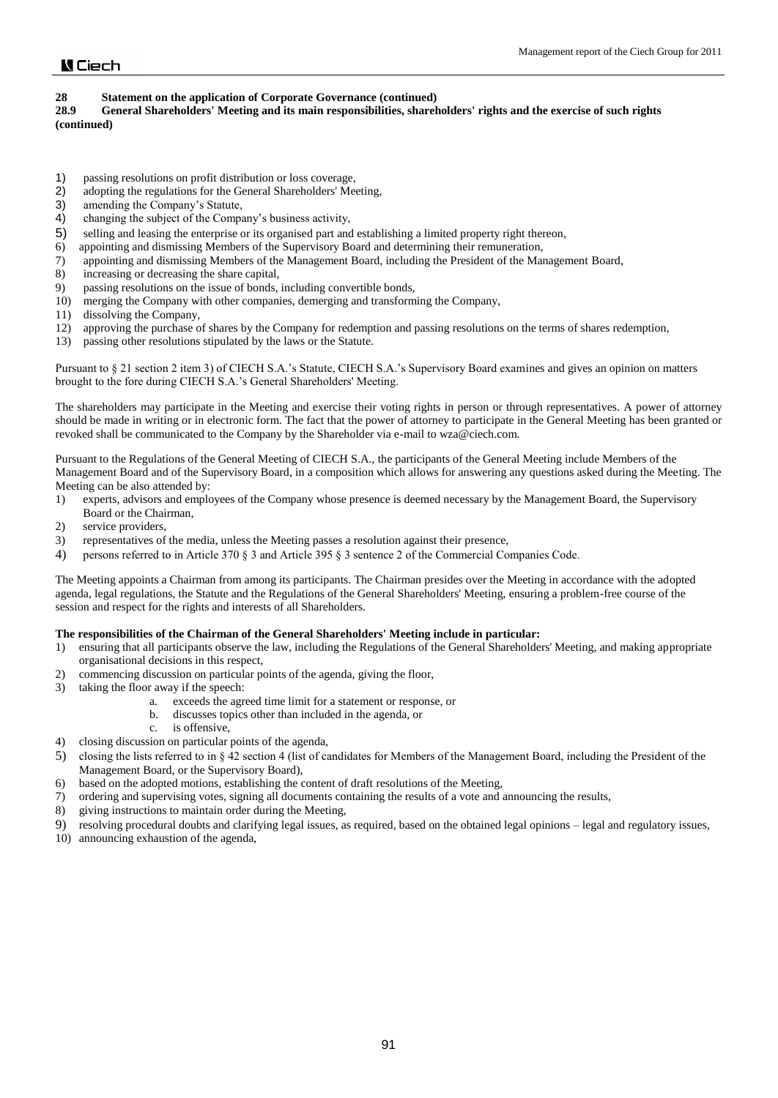**28.9 General Shareholders' Meeting and its main responsibilities, shareholders' rights and the exercise of such rights (continued)**

- 1) passing resolutions on profit distribution or loss coverage,<br>2) adopting the regulations for the General Shareholders' Mee
- adopting the regulations for the General Shareholders' Meeting,
- 3) amending the Company's Statute,
- 4) changing the subject of the Company's business activity,
- 5) selling and leasing the enterprise or its organised part and establishing a limited property right thereon,
- 6) appointing and dismissing Members of the Supervisory Board and determining their remuneration,
- 7) appointing and dismissing Members of the Management Board, including the President of the Management Board,
- 8) increasing or decreasing the share capital,
- 9) passing resolutions on the issue of bonds, including convertible bonds,
- 10) merging the Company with other companies, demerging and transforming the Company,
- 11) dissolving the Company,
- 12) approving the purchase of shares by the Company for redemption and passing resolutions on the terms of shares redemption,
- 13) passing other resolutions stipulated by the laws or the Statute.

Pursuant to § 21 section 2 item 3) of CIECH S.A.'s Statute, CIECH S.A.'s Supervisory Board examines and gives an opinion on matters brought to the fore during CIECH S.A.'s General Shareholders' Meeting.

The shareholders may participate in the Meeting and exercise their voting rights in person or through representatives. A power of attorney should be made in writing or in electronic form. The fact that the power of attorney to participate in the General Meeting has been granted or revoked shall be communicated to the Company by the Shareholder via e-mail to wza@ciech.com.

Pursuant to the Regulations of the General Meeting of CIECH S.A., the participants of the General Meeting include Members of the Management Board and of the Supervisory Board, in a composition which allows for answering any questions asked during the Meeting. The Meeting can be also attended by:

- 1) experts, advisors and employees of the Company whose presence is deemed necessary by the Management Board, the Supervisory Board or the Chairman,
- 2) service providers,
- 3) representatives of the media, unless the Meeting passes a resolution against their presence,
- 4) persons referred to in Article 370 § 3 and Article 395 § 3 sentence 2 of the Commercial Companies Code.

The Meeting appoints a Chairman from among its participants. The Chairman presides over the Meeting in accordance with the adopted agenda, legal regulations, the Statute and the Regulations of the General Shareholders' Meeting, ensuring a problem-free course of the session and respect for the rights and interests of all Shareholders.

### **The responsibilities of the Chairman of the General Shareholders' Meeting include in particular:**

- 1) ensuring that all participants observe the law, including the Regulations of the General Shareholders' Meeting, and making appropriate organisational decisions in this respect,
- 2) commencing discussion on particular points of the agenda, giving the floor,
- 3) taking the floor away if the speech:
	- a. exceeds the agreed time limit for a statement or response, or
	- b. discusses topics other than included in the agenda, or
	- c. is offensive,
- 4) closing discussion on particular points of the agenda,
- 5) closing the lists referred to in § 42 section 4 (list of candidates for Members of the Management Board, including the President of the Management Board, or the Supervisory Board),
- 6) based on the adopted motions, establishing the content of draft resolutions of the Meeting,
- 7) ordering and supervising votes, signing all documents containing the results of a vote and announcing the results,
- 8) giving instructions to maintain order during the Meeting,
- 9) resolving procedural doubts and clarifying legal issues, as required, based on the obtained legal opinions legal and regulatory issues,
- 10) announcing exhaustion of the agenda,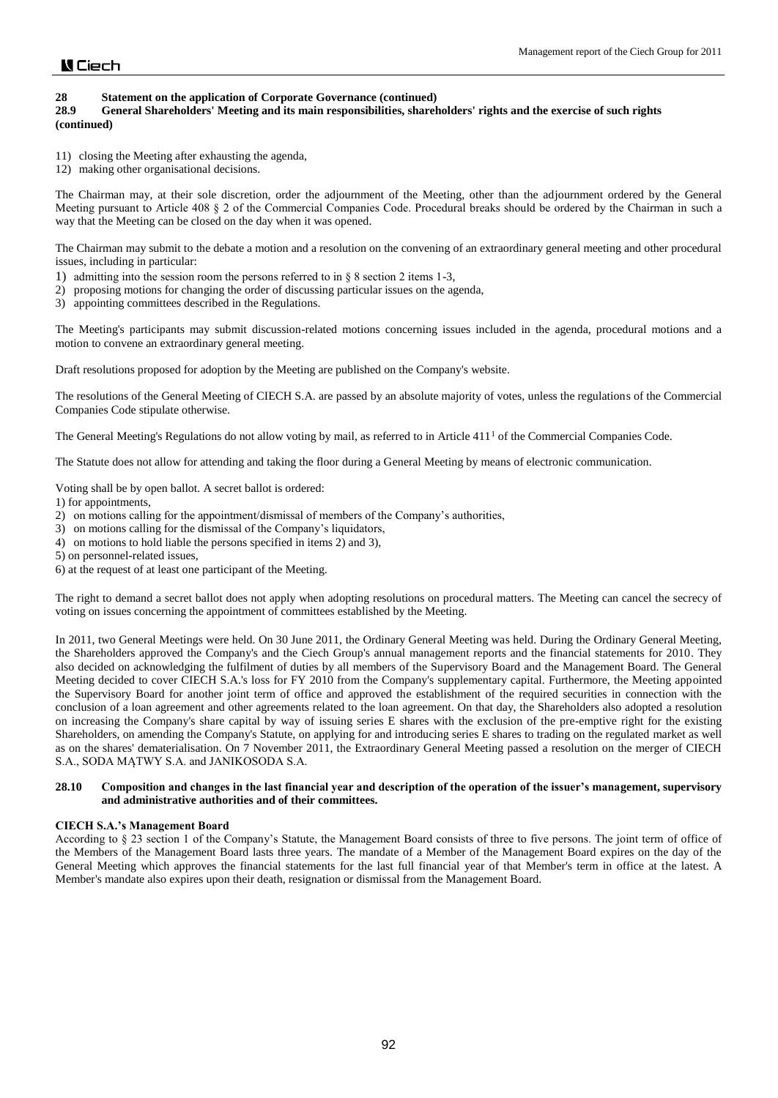# **28 Statement on the application of Corporate Governance (continued)**

## **28.9 General Shareholders' Meeting and its main responsibilities, shareholders' rights and the exercise of such rights (continued)**

11) closing the Meeting after exhausting the agenda,

12) making other organisational decisions.

The Chairman may, at their sole discretion, order the adjournment of the Meeting, other than the adjournment ordered by the General Meeting pursuant to Article 408 § 2 of the Commercial Companies Code. Procedural breaks should be ordered by the Chairman in such a way that the Meeting can be closed on the day when it was opened.

The Chairman may submit to the debate a motion and a resolution on the convening of an extraordinary general meeting and other procedural issues, including in particular:

- 1) admitting into the session room the persons referred to in § 8 section 2 items 1-3,
- 2) proposing motions for changing the order of discussing particular issues on the agenda,
- 3) appointing committees described in the Regulations.

The Meeting's participants may submit discussion-related motions concerning issues included in the agenda, procedural motions and a motion to convene an extraordinary general meeting.

Draft resolutions proposed for adoption by the Meeting are published on the Company's website.

The resolutions of the General Meeting of CIECH S.A. are passed by an absolute majority of votes, unless the regulations of the Commercial Companies Code stipulate otherwise.

The General Meeting's Regulations do not allow voting by mail, as referred to in Article  $411<sup>1</sup>$  of the Commercial Companies Code.

The Statute does not allow for attending and taking the floor during a General Meeting by means of electronic communication.

Voting shall be by open ballot. A secret ballot is ordered:

- 1) for appointments,
- 2) on motions calling for the appointment/dismissal of members of the Company's authorities,
- 3) on motions calling for the dismissal of the Company's liquidators,
- 4) on motions to hold liable the persons specified in items 2) and 3),
- 5) on personnel-related issues,
- 6) at the request of at least one participant of the Meeting.

The right to demand a secret ballot does not apply when adopting resolutions on procedural matters. The Meeting can cancel the secrecy of voting on issues concerning the appointment of committees established by the Meeting.

In 2011, two General Meetings were held. On 30 June 2011, the Ordinary General Meeting was held. During the Ordinary General Meeting, the Shareholders approved the Company's and the Ciech Group's annual management reports and the financial statements for 2010. They also decided on acknowledging the fulfilment of duties by all members of the Supervisory Board and the Management Board. The General Meeting decided to cover CIECH S.A.'s loss for FY 2010 from the Company's supplementary capital. Furthermore, the Meeting appointed the Supervisory Board for another joint term of office and approved the establishment of the required securities in connection with the conclusion of a loan agreement and other agreements related to the loan agreement. On that day, the Shareholders also adopted a resolution on increasing the Company's share capital by way of issuing series E shares with the exclusion of the pre-emptive right for the existing Shareholders, on amending the Company's Statute, on applying for and introducing series E shares to trading on the regulated market as well as on the shares' dematerialisation. On 7 November 2011, the Extraordinary General Meeting passed a resolution on the merger of CIECH S.A., SODA MĄTWY S.A. and JANIKOSODA S.A.

#### **28.10 Composition and changes in the last financial year and description of the operation of the issuer's management, supervisory and administrative authorities and of their committees.**

#### **CIECH S.A.'s Management Board**

According to § 23 section 1 of the Company's Statute, the Management Board consists of three to five persons. The joint term of office of the Members of the Management Board lasts three years. The mandate of a Member of the Management Board expires on the day of the General Meeting which approves the financial statements for the last full financial year of that Member's term in office at the latest. A Member's mandate also expires upon their death, resignation or dismissal from the Management Board.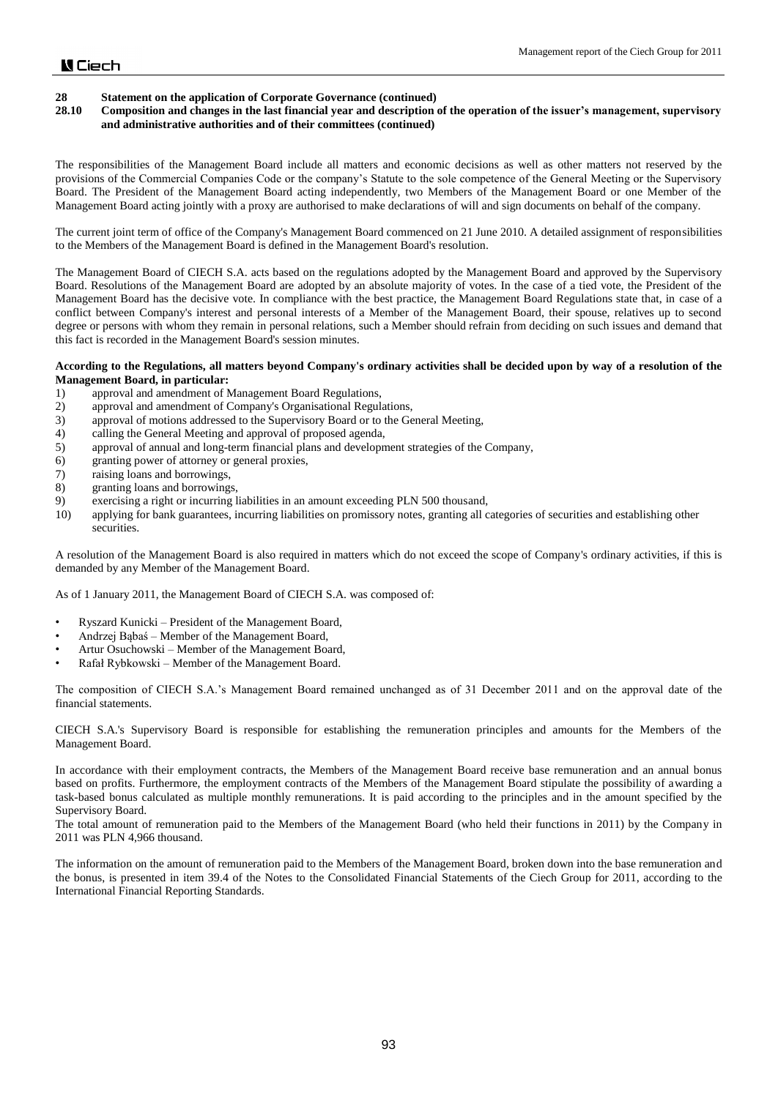# **28 Statement on the application of Corporate Governance (continued)**

## **28.10 Composition and changes in the last financial year and description of the operation of the issuer's management, supervisory and administrative authorities and of their committees (continued)**

The responsibilities of the Management Board include all matters and economic decisions as well as other matters not reserved by the provisions of the Commercial Companies Code or the company's Statute to the sole competence of the General Meeting or the Supervisory Board. The President of the Management Board acting independently, two Members of the Management Board or one Member of the Management Board acting jointly with a proxy are authorised to make declarations of will and sign documents on behalf of the company.

The current joint term of office of the Company's Management Board commenced on 21 June 2010. A detailed assignment of responsibilities to the Members of the Management Board is defined in the Management Board's resolution.

The Management Board of CIECH S.A. acts based on the regulations adopted by the Management Board and approved by the Supervisory Board. Resolutions of the Management Board are adopted by an absolute majority of votes. In the case of a tied vote, the President of the Management Board has the decisive vote. In compliance with the best practice, the Management Board Regulations state that, in case of a conflict between Company's interest and personal interests of a Member of the Management Board, their spouse, relatives up to second degree or persons with whom they remain in personal relations, such a Member should refrain from deciding on such issues and demand that this fact is recorded in the Management Board's session minutes.

### **According to the Regulations, all matters beyond Company's ordinary activities shall be decided upon by way of a resolution of the Management Board, in particular:**

- 1) approval and amendment of Management Board Regulations,
- 2) approval and amendment of Company's Organisational Regulations,
- 3) approval of motions addressed to the Supervisory Board or to the General Meeting,
- 4) calling the General Meeting and approval of proposed agenda,
- 5) approval of annual and long-term financial plans and development strategies of the Company,
- 6) granting power of attorney or general proxies,
- 7) raising loans and borrowings,
- 8) granting loans and borrowings,
- 9) exercising a right or incurring liabilities in an amount exceeding PLN 500 thousand,
- 10) applying for bank guarantees, incurring liabilities on promissory notes, granting all categories of securities and establishing other securities.

A resolution of the Management Board is also required in matters which do not exceed the scope of Company's ordinary activities, if this is demanded by any Member of the Management Board.

As of 1 January 2011, the Management Board of CIECH S.A. was composed of:

- Ryszard Kunicki President of the Management Board,
- Andrzej Bąbaś Member of the Management Board,
- Artur Osuchowski Member of the Management Board,
- Rafał Rybkowski Member of the Management Board.

The composition of CIECH S.A.'s Management Board remained unchanged as of 31 December 2011 and on the approval date of the financial statements.

CIECH S.A.'s Supervisory Board is responsible for establishing the remuneration principles and amounts for the Members of the Management Board.

In accordance with their employment contracts, the Members of the Management Board receive base remuneration and an annual bonus based on profits. Furthermore, the employment contracts of the Members of the Management Board stipulate the possibility of awarding a task-based bonus calculated as multiple monthly remunerations. It is paid according to the principles and in the amount specified by the Supervisory Board.

The total amount of remuneration paid to the Members of the Management Board (who held their functions in 2011) by the Company in 2011 was PLN 4,966 thousand.

The information on the amount of remuneration paid to the Members of the Management Board, broken down into the base remuneration and the bonus, is presented in item 39.4 of the Notes to the Consolidated Financial Statements of the Ciech Group for 2011, according to the International Financial Reporting Standards.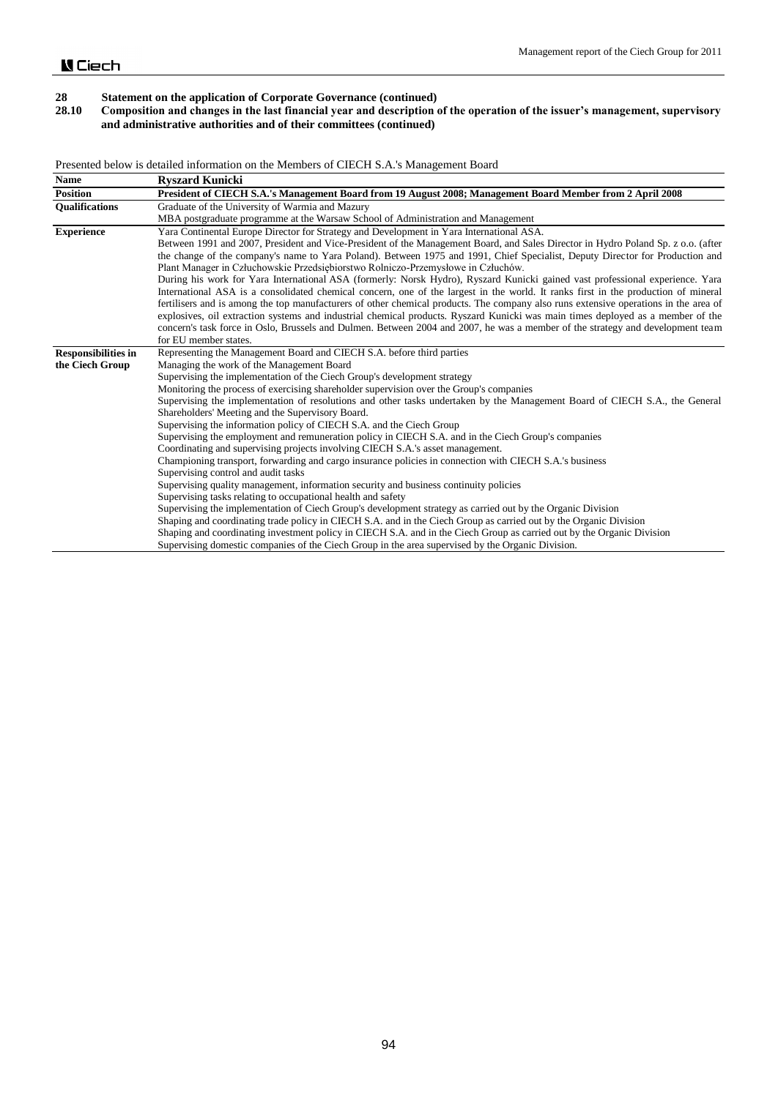## **28.10 Composition and changes in the last financial year and description of the operation of the issuer's management, supervisory and administrative authorities and of their committees (continued)**

Presented below is detailed information on the Members of CIECH S.A.'s Management Board

| <b>Name</b>                | <b>Ryszard Kunicki</b>                                                                                                                                                                                                                                                                                                                                 |
|----------------------------|--------------------------------------------------------------------------------------------------------------------------------------------------------------------------------------------------------------------------------------------------------------------------------------------------------------------------------------------------------|
| <b>Position</b>            | President of CIECH S.A.'s Management Board from 19 August 2008; Management Board Member from 2 April 2008                                                                                                                                                                                                                                              |
| <b>Oualifications</b>      | Graduate of the University of Warmia and Mazury                                                                                                                                                                                                                                                                                                        |
|                            | MBA postgraduate programme at the Warsaw School of Administration and Management                                                                                                                                                                                                                                                                       |
| <b>Experience</b>          | Yara Continental Europe Director for Strategy and Development in Yara International ASA.                                                                                                                                                                                                                                                               |
|                            | Between 1991 and 2007, President and Vice-President of the Management Board, and Sales Director in Hydro Poland Sp. z o.o. (after<br>the change of the company's name to Yara Poland). Between 1975 and 1991, Chief Specialist, Deputy Director for Production and<br>Plant Manager in Człuchowskie Przedsiębiorstwo Rolniczo-Przemysłowe in Człuchów. |
|                            | During his work for Yara International ASA (formerly: Norsk Hydro), Ryszard Kunicki gained vast professional experience. Yara                                                                                                                                                                                                                          |
|                            | International ASA is a consolidated chemical concern, one of the largest in the world. It ranks first in the production of mineral                                                                                                                                                                                                                     |
|                            | fertilisers and is among the top manufacturers of other chemical products. The company also runs extensive operations in the area of<br>explosives, oil extraction systems and industrial chemical products. Ryszard Kunicki was main times deployed as a member of the                                                                                |
|                            | concern's task force in Oslo, Brussels and Dulmen. Between 2004 and 2007, he was a member of the strategy and development team                                                                                                                                                                                                                         |
|                            | for EU member states.                                                                                                                                                                                                                                                                                                                                  |
| <b>Responsibilities in</b> | Representing the Management Board and CIECH S.A. before third parties                                                                                                                                                                                                                                                                                  |
| the Ciech Group            | Managing the work of the Management Board                                                                                                                                                                                                                                                                                                              |
|                            | Supervising the implementation of the Ciech Group's development strategy                                                                                                                                                                                                                                                                               |
|                            | Monitoring the process of exercising shareholder supervision over the Group's companies                                                                                                                                                                                                                                                                |
|                            | Supervising the implementation of resolutions and other tasks undertaken by the Management Board of CIECH S.A., the General                                                                                                                                                                                                                            |
|                            | Shareholders' Meeting and the Supervisory Board.                                                                                                                                                                                                                                                                                                       |
|                            | Supervising the information policy of CIECH S.A. and the Ciech Group                                                                                                                                                                                                                                                                                   |
|                            | Supervising the employment and remuneration policy in CIECH S.A. and in the Ciech Group's companies                                                                                                                                                                                                                                                    |
|                            | Coordinating and supervising projects involving CIECH S.A.'s asset management.                                                                                                                                                                                                                                                                         |
|                            | Championing transport, forwarding and cargo insurance policies in connection with CIECH S.A.'s business                                                                                                                                                                                                                                                |
|                            | Supervising control and audit tasks                                                                                                                                                                                                                                                                                                                    |
|                            | Supervising quality management, information security and business continuity policies                                                                                                                                                                                                                                                                  |
|                            | Supervising tasks relating to occupational health and safety                                                                                                                                                                                                                                                                                           |
|                            | Supervising the implementation of Ciech Group's development strategy as carried out by the Organic Division                                                                                                                                                                                                                                            |
|                            | Shaping and coordinating trade policy in CIECH S.A. and in the Ciech Group as carried out by the Organic Division                                                                                                                                                                                                                                      |
|                            | Shaping and coordinating investment policy in CIECH S.A. and in the Ciech Group as carried out by the Organic Division                                                                                                                                                                                                                                 |
|                            | Supervising domestic companies of the Ciech Group in the area supervised by the Organic Division.                                                                                                                                                                                                                                                      |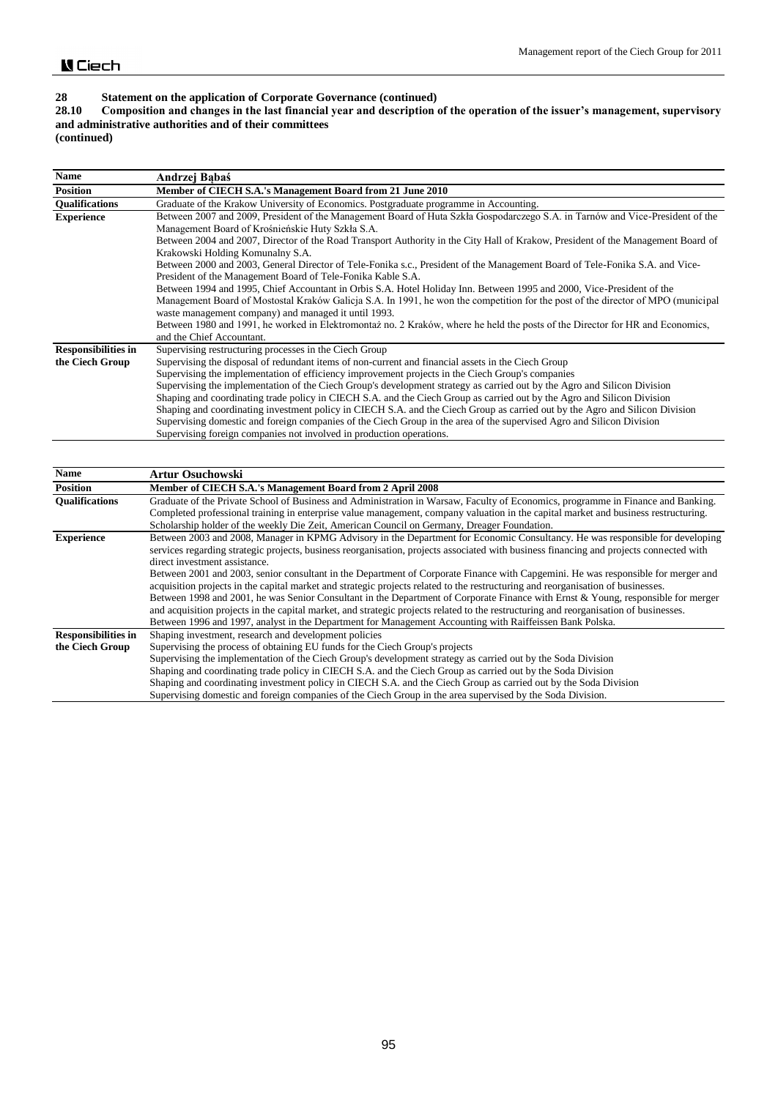# **28.10 Composition and changes in the last financial year and description of the operation of the issuer's management, supervisory and administrative authorities and of their committees**

**(continued)**

| Name                       | Andrzej Babaś                                                                                                                    |
|----------------------------|----------------------------------------------------------------------------------------------------------------------------------|
| <b>Position</b>            | Member of CIECH S.A.'s Management Board from 21 June 2010                                                                        |
| <b>Oualifications</b>      | Graduate of the Krakow University of Economics. Postgraduate programme in Accounting.                                            |
| <b>Experience</b>          | Between 2007 and 2009, President of the Management Board of Huta Szkła Gospodarczego S.A. in Tarnów and Vice-President of the    |
|                            | Management Board of Krośnieńskie Huty Szkła S.A.                                                                                 |
|                            | Between 2004 and 2007, Director of the Road Transport Authority in the City Hall of Krakow, President of the Management Board of |
|                            | Krakowski Holding Komunalny S.A.                                                                                                 |
|                            | Between 2000 and 2003, General Director of Tele-Fonika s.c., President of the Management Board of Tele-Fonika S.A. and Vice-     |
|                            | President of the Management Board of Tele-Fonika Kable S.A.                                                                      |
|                            | Between 1994 and 1995, Chief Accountant in Orbis S.A. Hotel Holiday Inn. Between 1995 and 2000, Vice-President of the            |
|                            | Management Board of Mostostal Kraków Galicja S.A. In 1991, he won the competition for the post of the director of MPO (municipal |
|                            | waste management company) and managed it until 1993.                                                                             |
|                            | Between 1980 and 1991, he worked in Elektromontaz no. 2 Kraków, where he held the posts of the Director for HR and Economics,    |
|                            | and the Chief Accountant.                                                                                                        |
| <b>Responsibilities in</b> | Supervising restructuring processes in the Ciech Group                                                                           |
| the Ciech Group            | Supervising the disposal of redundant items of non-current and financial assets in the Ciech Group                               |
|                            | Supervising the implementation of efficiency improvement projects in the Ciech Group's companies                                 |
|                            | Supervising the implementation of the Ciech Group's development strategy as carried out by the Agro and Silicon Division         |
|                            | Shaping and coordinating trade policy in CIECH S.A. and the Ciech Group as carried out by the Agro and Silicon Division          |
|                            | Shaping and coordinating investment policy in CIECH S.A. and the Ciech Group as carried out by the Agro and Silicon Division     |
|                            | Supervising domestic and foreign companies of the Ciech Group in the area of the supervised Agro and Silicon Division            |
|                            | Supervising foreign companies not involved in production operations.                                                             |

| Name                       | <b>Artur Osuchowski</b>                                                                                                                 |
|----------------------------|-----------------------------------------------------------------------------------------------------------------------------------------|
| <b>Position</b>            | Member of CIECH S.A.'s Management Board from 2 April 2008                                                                               |
| <b>Oualifications</b>      | Graduate of the Private School of Business and Administration in Warsaw, Faculty of Economics, programme in Finance and Banking.        |
|                            | Completed professional training in enterprise value management, company valuation in the capital market and business restructuring.     |
|                            | Scholarship holder of the weekly Die Zeit, American Council on Germany, Dreager Foundation.                                             |
| <b>Experience</b>          | Between 2003 and 2008, Manager in KPMG Advisory in the Department for Economic Consultancy. He was responsible for developing           |
|                            | services regarding strategic projects, business reorganisation, projects associated with business financing and projects connected with |
|                            | direct investment assistance.                                                                                                           |
|                            | Between 2001 and 2003, senior consultant in the Department of Corporate Finance with Capgemini. He was responsible for merger and       |
|                            | acquisition projects in the capital market and strategic projects related to the restructuring and reorganisation of businesses.        |
|                            | Between 1998 and 2001, he was Senior Consultant in the Department of Corporate Finance with Ernst & Young, responsible for merger       |
|                            | and acquisition projects in the capital market, and strategic projects related to the restructuring and reorganisation of businesses.   |
|                            | Between 1996 and 1997, analyst in the Department for Management Accounting with Raiffeissen Bank Polska.                                |
| <b>Responsibilities in</b> | Shaping investment, research and development policies                                                                                   |
| the Ciech Group            | Supervising the process of obtaining EU funds for the Ciech Group's projects                                                            |
|                            | Supervising the implementation of the Ciech Group's development strategy as carried out by the Soda Division                            |
|                            | Shaping and coordinating trade policy in CIECH S.A. and the Ciech Group as carried out by the Soda Division                             |
|                            | Shaping and coordinating investment policy in CIECH S.A. and the Ciech Group as carried out by the Soda Division                        |
|                            | Supervising domestic and foreign companies of the Ciech Group in the area supervised by the Soda Division.                              |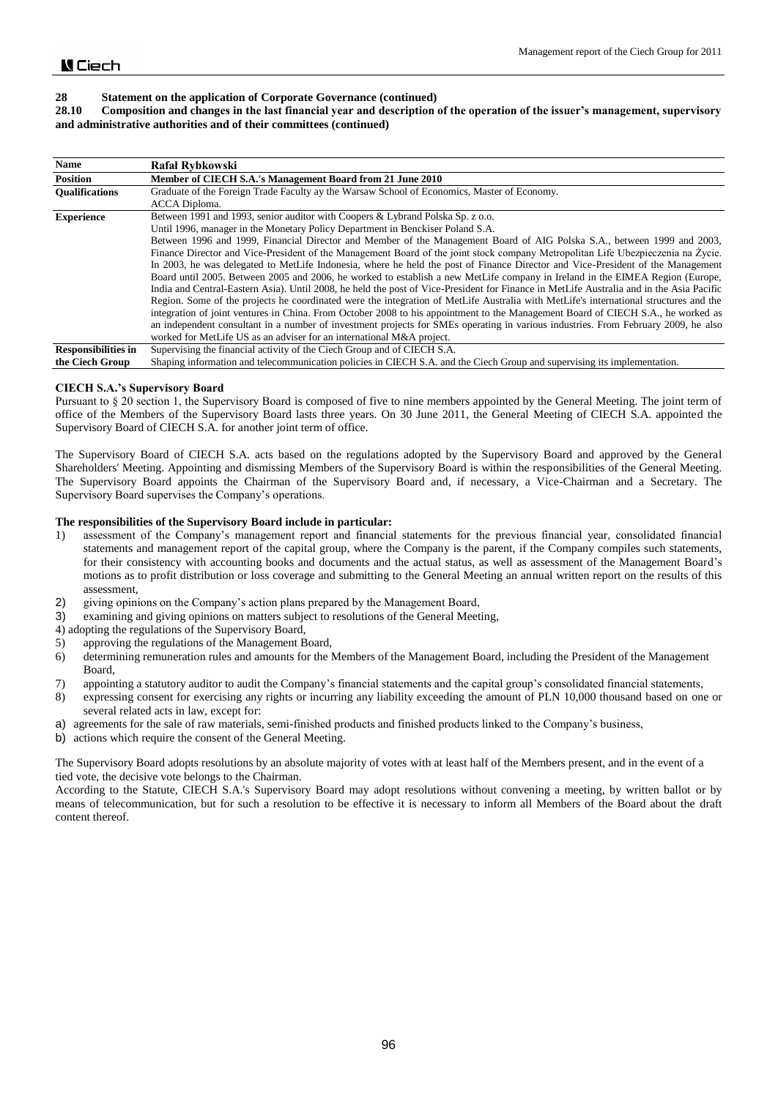### **28.10 Composition and changes in the last financial year and description of the operation of the issuer's management, supervisory and administrative authorities and of their committees (continued)**

| <b>Name</b>                |                                                                                                                                          |
|----------------------------|------------------------------------------------------------------------------------------------------------------------------------------|
|                            | Rafał Rybkowski                                                                                                                          |
| <b>Position</b>            | Member of CIECH S.A.'s Management Board from 21 June 2010                                                                                |
| <b>Oualifications</b>      | Graduate of the Foreign Trade Faculty ay the Warsaw School of Economics, Master of Economy.                                              |
|                            | ACCA Diploma.                                                                                                                            |
| <b>Experience</b>          | Between 1991 and 1993, senior auditor with Coopers & Lybrand Polska Sp. z o.o.                                                           |
|                            | Until 1996, manager in the Monetary Policy Department in Benckiser Poland S.A.                                                           |
|                            | Between 1996 and 1999, Financial Director and Member of the Management Board of AIG Polska S.A., between 1999 and 2003,                  |
|                            | Finance Director and Vice-President of the Management Board of the joint stock company Metropolitan Life Ubezpieczenia na Życie.         |
|                            | In 2003, he was delegated to MetLife Indonesia, where he held the post of Finance Director and Vice-President of the Management          |
|                            | Board until 2005. Between 2005 and 2006, he worked to establish a new MetLife company in Ireland in the EIMEA Region (Europe,            |
|                            | India and Central-Eastern Asia). Until 2008, he held the post of Vice-President for Finance in MetLife Australia and in the Asia Pacific |
|                            | Region. Some of the projects he coordinated were the integration of MetLife Australia with MetLife's international structures and the    |
|                            | integration of joint ventures in China. From October 2008 to his appointment to the Management Board of CIECH S.A., he worked as         |
|                            | an independent consultant in a number of investment projects for SMEs operating in various industries. From February 2009, he also       |
|                            | worked for MetLife US as an adviser for an international M&A project.                                                                    |
| <b>Responsibilities in</b> | Supervising the financial activity of the Ciech Group and of CIECH S.A.                                                                  |
| the Ciech Group            | Shaping information and telecommunication policies in CIECH S.A. and the Ciech Group and supervising its implementation.                 |

**CIECH S.A.'s Supervisory Board**

Pursuant to § 20 section 1, the Supervisory Board is composed of five to nine members appointed by the General Meeting. The joint term of office of the Members of the Supervisory Board lasts three years. On 30 June 2011, the General Meeting of CIECH S.A. appointed the Supervisory Board of CIECH S.A. for another joint term of office.

The Supervisory Board of CIECH S.A. acts based on the regulations adopted by the Supervisory Board and approved by the General Shareholders' Meeting. Appointing and dismissing Members of the Supervisory Board is within the responsibilities of the General Meeting. The Supervisory Board appoints the Chairman of the Supervisory Board and, if necessary, a Vice-Chairman and a Secretary. The Supervisory Board supervises the Company's operations.

### **The responsibilities of the Supervisory Board include in particular:**

- 1) assessment of the Company's management report and financial statements for the previous financial year, consolidated financial statements and management report of the capital group, where the Company is the parent, if the Company compiles such statements, for their consistency with accounting books and documents and the actual status, as well as assessment of the Management Board's motions as to profit distribution or loss coverage and submitting to the General Meeting an annual written report on the results of this assessment,
- 2) giving opinions on the Company's action plans prepared by the Management Board,
- 3) examining and giving opinions on matters subject to resolutions of the General Meeting,
- 4) adopting the regulations of the Supervisory Board,
- 5) approving the regulations of the Management Board,
- 6) determining remuneration rules and amounts for the Members of the Management Board, including the President of the Management Board,
- 7) appointing a statutory auditor to audit the Company's financial statements and the capital group's consolidated financial statements,
- 8) expressing consent for exercising any rights or incurring any liability exceeding the amount of PLN 10,000 thousand based on one or several related acts in law, except for:
- a) agreements for the sale of raw materials, semi-finished products and finished products linked to the Company's business,
- b) actions which require the consent of the General Meeting.

The Supervisory Board adopts resolutions by an absolute majority of votes with at least half of the Members present, and in the event of a tied vote, the decisive vote belongs to the Chairman.

According to the Statute, CIECH S.A.'s Supervisory Board may adopt resolutions without convening a meeting, by written ballot or by means of telecommunication, but for such a resolution to be effective it is necessary to inform all Members of the Board about the draft content thereof.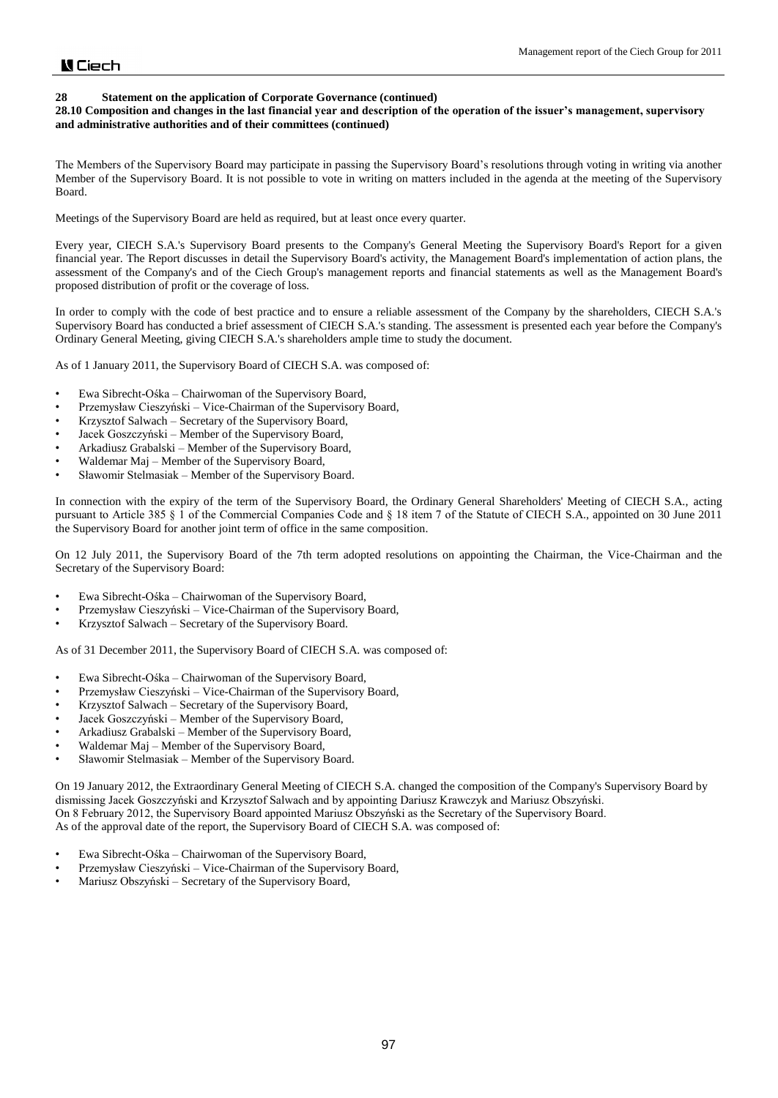### **28 Statement on the application of Corporate Governance (continued)**

## **28.10 Composition and changes in the last financial year and description of the operation of the issuer's management, supervisory and administrative authorities and of their committees (continued)**

The Members of the Supervisory Board may participate in passing the Supervisory Board's resolutions through voting in writing via another Member of the Supervisory Board. It is not possible to vote in writing on matters included in the agenda at the meeting of the Supervisory Board.

Meetings of the Supervisory Board are held as required, but at least once every quarter.

Every year, CIECH S.A.'s Supervisory Board presents to the Company's General Meeting the Supervisory Board's Report for a given financial year. The Report discusses in detail the Supervisory Board's activity, the Management Board's implementation of action plans, the assessment of the Company's and of the Ciech Group's management reports and financial statements as well as the Management Board's proposed distribution of profit or the coverage of loss.

In order to comply with the code of best practice and to ensure a reliable assessment of the Company by the shareholders, CIECH S.A.'s Supervisory Board has conducted a brief assessment of CIECH S.A.'s standing. The assessment is presented each year before the Company's Ordinary General Meeting, giving CIECH S.A.'s shareholders ample time to study the document.

As of 1 January 2011, the Supervisory Board of CIECH S.A. was composed of:

- Ewa Sibrecht-Ośka Chairwoman of the Supervisory Board,
- Przemysław Cieszyński Vice-Chairman of the Supervisory Board,
- Krzysztof Salwach Secretary of the Supervisory Board,
- Jacek Goszczyński Member of the Supervisory Board,
- Arkadiusz Grabalski Member of the Supervisory Board,
- Waldemar Maj Member of the Supervisory Board,
- Sławomir Stelmasiak Member of the Supervisory Board.

In connection with the expiry of the term of the Supervisory Board, the Ordinary General Shareholders' Meeting of CIECH S.A., acting pursuant to Article 385 § 1 of the Commercial Companies Code and § 18 item 7 of the Statute of CIECH S.A., appointed on 30 June 2011 the Supervisory Board for another joint term of office in the same composition.

On 12 July 2011, the Supervisory Board of the 7th term adopted resolutions on appointing the Chairman, the Vice-Chairman and the Secretary of the Supervisory Board:

- Ewa Sibrecht-Ośka Chairwoman of the Supervisory Board,
- Przemysław Cieszyński Vice-Chairman of the Supervisory Board,
- Krzysztof Salwach Secretary of the Supervisory Board.

As of 31 December 2011, the Supervisory Board of CIECH S.A. was composed of:

- Ewa Sibrecht-Ośka Chairwoman of the Supervisory Board,
- Przemysław Cieszyński Vice-Chairman of the Supervisory Board,
- Krzysztof Salwach Secretary of the Supervisory Board,
- Jacek Goszczyński Member of the Supervisory Board,
- Arkadiusz Grabalski Member of the Supervisory Board,
- Waldemar Maj Member of the Supervisory Board,
- Sławomir Stelmasiak Member of the Supervisory Board.

On 19 January 2012, the Extraordinary General Meeting of CIECH S.A. changed the composition of the Company's Supervisory Board by dismissing Jacek Goszczyński and Krzysztof Salwach and by appointing Dariusz Krawczyk and Mariusz Obszyński. On 8 February 2012, the Supervisory Board appointed Mariusz Obszyński as the Secretary of the Supervisory Board. As of the approval date of the report, the Supervisory Board of CIECH S.A. was composed of:

- Ewa Sibrecht-Ośka Chairwoman of the Supervisory Board,
- Przemysław Cieszyński Vice-Chairman of the Supervisory Board,
- Mariusz Obszyński Secretary of the Supervisory Board,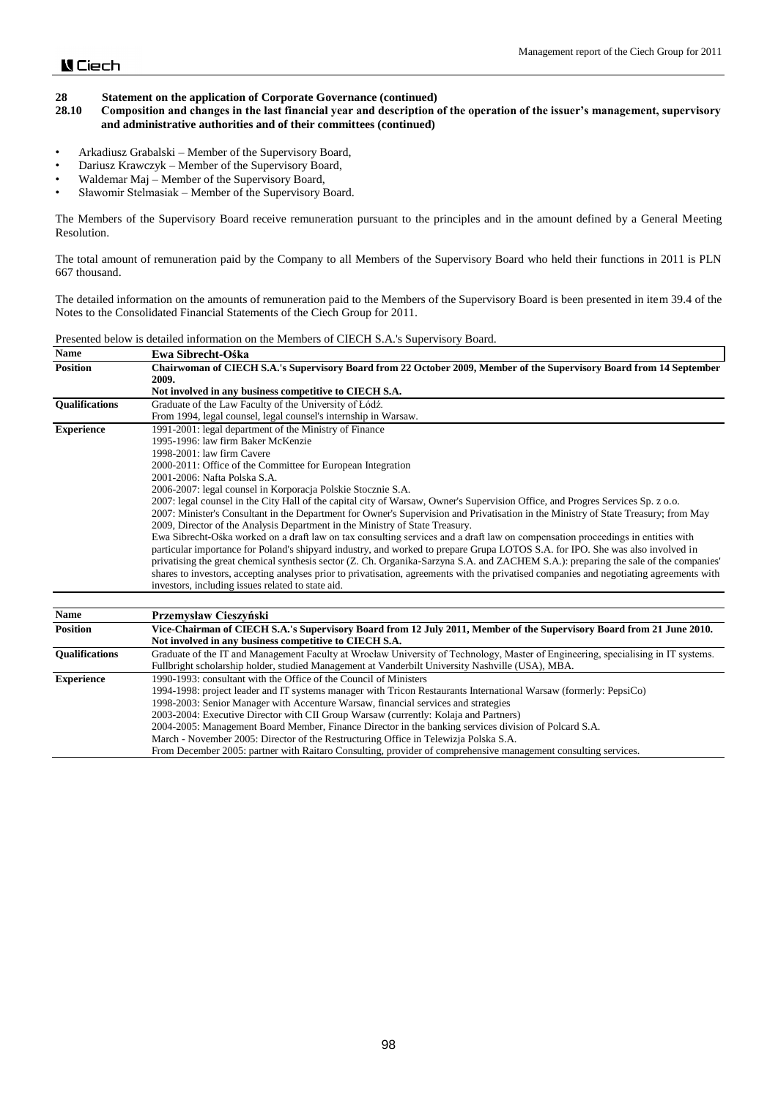- **28.10 Composition and changes in the last financial year and description of the operation of the issuer's management, supervisory and administrative authorities and of their committees (continued)**
- Arkadiusz Grabalski Member of the Supervisory Board,
- Dariusz Krawczyk Member of the Supervisory Board,
- Waldemar Maj Member of the Supervisory Board,
- Sławomir Stelmasiak Member of the Supervisory Board.

The Members of the Supervisory Board receive remuneration pursuant to the principles and in the amount defined by a General Meeting Resolution.

The total amount of remuneration paid by the Company to all Members of the Supervisory Board who held their functions in 2011 is PLN 667 thousand.

The detailed information on the amounts of remuneration paid to the Members of the Supervisory Board is been presented in item 39.4 of the Notes to the Consolidated Financial Statements of the Ciech Group for 2011.

|--|

| <b>Name</b>           | Ewa Sibrecht-Ośka                                                                                                                                                                                                                                                      |
|-----------------------|------------------------------------------------------------------------------------------------------------------------------------------------------------------------------------------------------------------------------------------------------------------------|
| <b>Position</b>       | Chairwoman of CIECH S.A.'s Supervisory Board from 22 October 2009, Member of the Supervisory Board from 14 September                                                                                                                                                   |
|                       | 2009.                                                                                                                                                                                                                                                                  |
|                       | Not involved in any business competitive to CIECH S.A.                                                                                                                                                                                                                 |
| <b>Oualifications</b> | Graduate of the Law Faculty of the University of Łódź.                                                                                                                                                                                                                 |
|                       | From 1994, legal counsel, legal counsel's internship in Warsaw.                                                                                                                                                                                                        |
| <b>Experience</b>     | 1991-2001: legal department of the Ministry of Finance                                                                                                                                                                                                                 |
|                       | 1995-1996: law firm Baker McKenzie                                                                                                                                                                                                                                     |
|                       | 1998-2001: law firm Cavere                                                                                                                                                                                                                                             |
|                       | 2000-2011: Office of the Committee for European Integration                                                                                                                                                                                                            |
|                       | 2001-2006: Nafta Polska S.A.                                                                                                                                                                                                                                           |
|                       | 2006-2007: legal counsel in Korporacja Polskie Stocznie S.A.                                                                                                                                                                                                           |
|                       | 2007: legal counsel in the City Hall of the capital city of Warsaw, Owner's Supervision Office, and Progres Services Sp. z o.o.                                                                                                                                        |
|                       | 2007: Minister's Consultant in the Department for Owner's Supervision and Privatisation in the Ministry of State Treasury; from May                                                                                                                                    |
|                       | 2009, Director of the Analysis Department in the Ministry of State Treasury.                                                                                                                                                                                           |
|                       | Ewa Sibrecht-Ośka worked on a draft law on tax consulting services and a draft law on compensation proceedings in entities with                                                                                                                                        |
|                       | particular importance for Poland's shipyard industry, and worked to prepare Grupa LOTOS S.A. for IPO. She was also involved in<br>privatising the great chemical synthesis sector (Z. Ch. Organika-Sarzyna S.A. and ZACHEM S.A.): preparing the sale of the companies' |
|                       | shares to investors, accepting analyses prior to privatisation, agreements with the privatised companies and negotiating agreements with                                                                                                                               |
|                       | investors, including issues related to state aid.                                                                                                                                                                                                                      |
|                       |                                                                                                                                                                                                                                                                        |
| <b>Name</b>           | Przemysław Cieszyński                                                                                                                                                                                                                                                  |
| <b>Position</b>       | Vice-Chairman of CIECH S.A.'s Supervisory Board from 12 July 2011, Member of the Supervisory Board from 21 June 2010.                                                                                                                                                  |
|                       | Not involved in any business competitive to CIECH S.A.                                                                                                                                                                                                                 |
| <b>Oualifications</b> | Graduate of the IT and Management Faculty at Wrocław University of Technology, Master of Engineering, specialising in IT systems.                                                                                                                                      |
|                       | Fullbright scholarship holder, studied Management at Vanderbilt University Nashville (USA), MBA.                                                                                                                                                                       |
| <b>Experience</b>     | 1990-1993: consultant with the Office of the Council of Ministers                                                                                                                                                                                                      |
|                       | 1994-1998: project leader and IT systems manager with Tricon Restaurants International Warsaw (formerly: PepsiCo)                                                                                                                                                      |
|                       | 1998-2003: Senior Manager with Accenture Warsaw, financial services and strategies                                                                                                                                                                                     |
|                       | 2003-2004: Executive Director with CII Group Warsaw (currently: Kolaja and Partners)                                                                                                                                                                                   |
|                       | 2004-2005: Management Board Member, Finance Director in the banking services division of Polcard S.A.                                                                                                                                                                  |
|                       | March - November 2005: Director of the Restructuring Office in Telewizja Polska S.A.                                                                                                                                                                                   |

From December 2005: partner with Raitaro Consulting, provider of comprehensive management consulting services.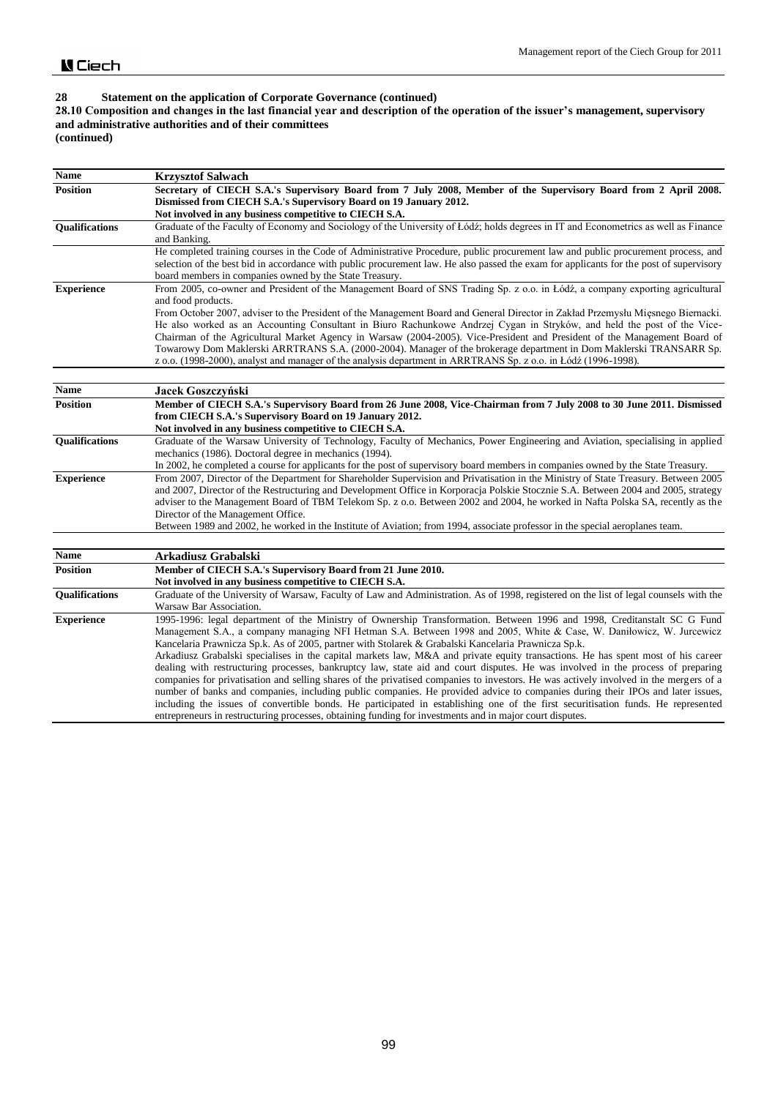## **28.10 Composition and changes in the last financial year and description of the operation of the issuer's management, supervisory and administrative authorities and of their committees**

**(continued)**

| <b>Name</b>           | <b>Krzysztof Salwach</b>                                                                                                                                                                                                                                                                                                                                                                                                                                                                                                                                                                                                                                                                                                                                                                                                                                                                                                                                                                                                                     |
|-----------------------|----------------------------------------------------------------------------------------------------------------------------------------------------------------------------------------------------------------------------------------------------------------------------------------------------------------------------------------------------------------------------------------------------------------------------------------------------------------------------------------------------------------------------------------------------------------------------------------------------------------------------------------------------------------------------------------------------------------------------------------------------------------------------------------------------------------------------------------------------------------------------------------------------------------------------------------------------------------------------------------------------------------------------------------------|
| <b>Position</b>       | Secretary of CIECH S.A.'s Supervisory Board from 7 July 2008, Member of the Supervisory Board from 2 April 2008.                                                                                                                                                                                                                                                                                                                                                                                                                                                                                                                                                                                                                                                                                                                                                                                                                                                                                                                             |
|                       | Dismissed from CIECH S.A.'s Supervisory Board on 19 January 2012.                                                                                                                                                                                                                                                                                                                                                                                                                                                                                                                                                                                                                                                                                                                                                                                                                                                                                                                                                                            |
|                       | Not involved in any business competitive to CIECH S.A.                                                                                                                                                                                                                                                                                                                                                                                                                                                                                                                                                                                                                                                                                                                                                                                                                                                                                                                                                                                       |
| <b>Oualifications</b> | Graduate of the Faculty of Economy and Sociology of the University of Łódź; holds degrees in IT and Econometrics as well as Finance<br>and Banking.                                                                                                                                                                                                                                                                                                                                                                                                                                                                                                                                                                                                                                                                                                                                                                                                                                                                                          |
|                       | He completed training courses in the Code of Administrative Procedure, public procurement law and public procurement process, and<br>selection of the best bid in accordance with public procurement law. He also passed the exam for applicants for the post of supervisory<br>board members in companies owned by the State Treasury.                                                                                                                                                                                                                                                                                                                                                                                                                                                                                                                                                                                                                                                                                                      |
| <b>Experience</b>     | From 2005, co-owner and President of the Management Board of SNS Trading Sp. z o.o. in Łódź, a company exporting agricultural<br>and food products.                                                                                                                                                                                                                                                                                                                                                                                                                                                                                                                                                                                                                                                                                                                                                                                                                                                                                          |
|                       | From October 2007, adviser to the President of the Management Board and General Director in Zakład Przemysłu Miesnego Biernacki.<br>He also worked as an Accounting Consultant in Biuro Rachunkowe Andrzej Cygan in Stryków, and held the post of the Vice-<br>Chairman of the Agricultural Market Agency in Warsaw (2004-2005). Vice-President and President of the Management Board of<br>Towarowy Dom Maklerski ARRTRANS S.A. (2000-2004). Manager of the brokerage department in Dom Maklerski TRANSARR Sp.<br>z o.o. (1998-2000), analyst and manager of the analysis department in ARRTRANS Sp. z o.o. in Łódź (1996-1998).                                                                                                                                                                                                                                                                                                                                                                                                            |
|                       |                                                                                                                                                                                                                                                                                                                                                                                                                                                                                                                                                                                                                                                                                                                                                                                                                                                                                                                                                                                                                                              |
| <b>Name</b>           | Jacek Goszczyński                                                                                                                                                                                                                                                                                                                                                                                                                                                                                                                                                                                                                                                                                                                                                                                                                                                                                                                                                                                                                            |
| <b>Position</b>       | Member of CIECH S.A.'s Supervisory Board from 26 June 2008, Vice-Chairman from 7 July 2008 to 30 June 2011. Dismissed<br>from CIECH S.A.'s Supervisory Board on 19 January 2012.<br>Not involved in any business competitive to CIECH S.A.                                                                                                                                                                                                                                                                                                                                                                                                                                                                                                                                                                                                                                                                                                                                                                                                   |
| <b>Qualifications</b> | Graduate of the Warsaw University of Technology, Faculty of Mechanics, Power Engineering and Aviation, specialising in applied<br>mechanics (1986). Doctoral degree in mechanics (1994).<br>In 2002, he completed a course for applicants for the post of supervisory board members in companies owned by the State Treasury.                                                                                                                                                                                                                                                                                                                                                                                                                                                                                                                                                                                                                                                                                                                |
| <b>Experience</b>     | From 2007, Director of the Department for Shareholder Supervision and Privatisation in the Ministry of State Treasury. Between 2005<br>and 2007, Director of the Restructuring and Development Office in Korporacja Polskie Stocznie S.A. Between 2004 and 2005, strategy<br>adviser to the Management Board of TBM Telekom Sp. z o.o. Between 2002 and 2004, he worked in Nafta Polska SA, recently as the<br>Director of the Management Office.<br>Between 1989 and 2002, he worked in the Institute of Aviation; from 1994, associate professor in the special aeroplanes team.                                                                                                                                                                                                                                                                                                                                                                                                                                                           |
| <b>Name</b>           | Arkadiusz Grabalski                                                                                                                                                                                                                                                                                                                                                                                                                                                                                                                                                                                                                                                                                                                                                                                                                                                                                                                                                                                                                          |
| <b>Position</b>       | Member of CIECH S.A.'s Supervisory Board from 21 June 2010.<br>Not involved in any business competitive to CIECH S.A.                                                                                                                                                                                                                                                                                                                                                                                                                                                                                                                                                                                                                                                                                                                                                                                                                                                                                                                        |
| Qualifications        | Graduate of the University of Warsaw, Faculty of Law and Administration. As of 1998, registered on the list of legal counsels with the<br>Warsaw Bar Association.                                                                                                                                                                                                                                                                                                                                                                                                                                                                                                                                                                                                                                                                                                                                                                                                                                                                            |
| <b>Experience</b>     | 1995-1996: legal department of the Ministry of Ownership Transformation. Between 1996 and 1998, Creditanstalt SC G Fund<br>Management S.A., a company managing NFI Hetman S.A. Between 1998 and 2005, White & Case, W. Daniłowicz, W. Jurcewicz<br>Kancelaria Prawnicza Sp.k. As of 2005, partner with Stolarek & Grabalski Kancelaria Prawnicza Sp.k.<br>Arkadiusz Grabalski specialises in the capital markets law, M&A and private equity transactions. He has spent most of his career<br>dealing with restructuring processes, bankruptcy law, state aid and court disputes. He was involved in the process of preparing<br>companies for privatisation and selling shares of the privatised companies to investors. He was actively involved in the mergers of a<br>number of banks and companies, including public companies. He provided advice to companies during their IPOs and later issues,<br>including the issues of convertible bonds. He participated in establishing one of the first securitisation funds. He represented |
|                       | entrepreneurs in restructuring processes, obtaining funding for investments and in major court disputes.                                                                                                                                                                                                                                                                                                                                                                                                                                                                                                                                                                                                                                                                                                                                                                                                                                                                                                                                     |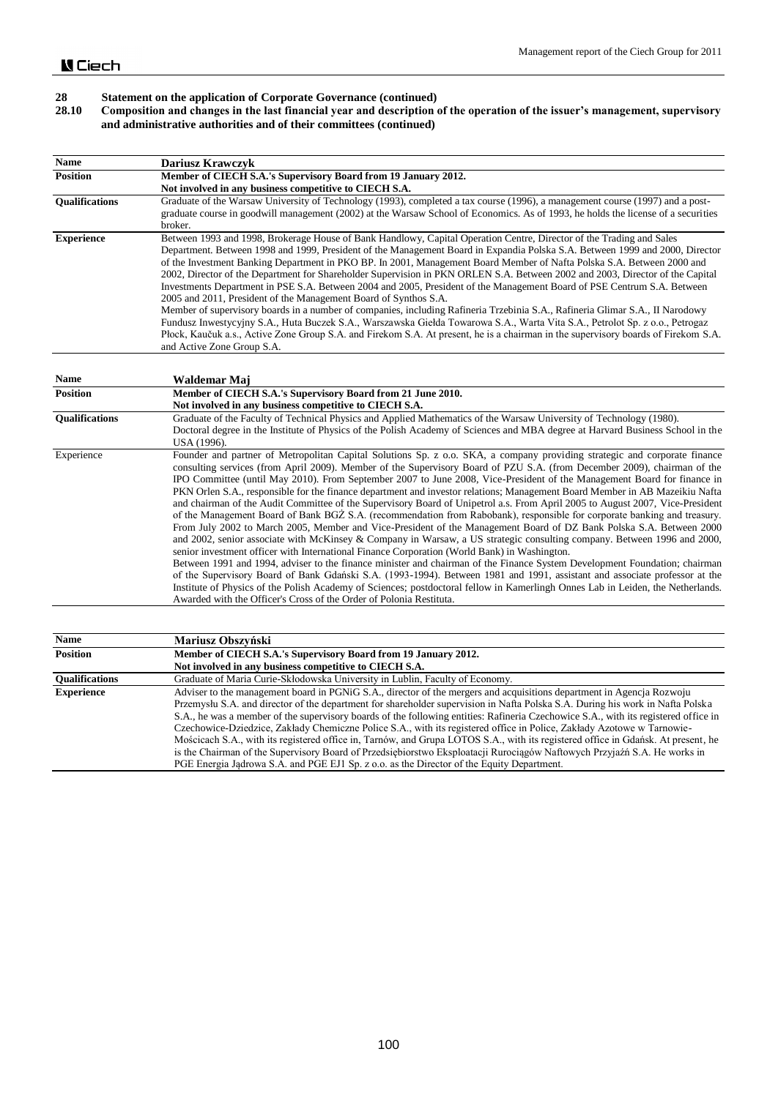#### **28.10 Composition and changes in the last financial year and description of the operation of the issuer's management, supervisory and administrative authorities and of their committees (continued)**

| <b>Name</b>           | <b>Dariusz Krawczyk</b>                                                                                                                                                                                                                                                                                                                                                                                                                                                                                                                                                                                                                                                                                                                                                                                                                                                                                                                                                                                                                                                                                                                             |
|-----------------------|-----------------------------------------------------------------------------------------------------------------------------------------------------------------------------------------------------------------------------------------------------------------------------------------------------------------------------------------------------------------------------------------------------------------------------------------------------------------------------------------------------------------------------------------------------------------------------------------------------------------------------------------------------------------------------------------------------------------------------------------------------------------------------------------------------------------------------------------------------------------------------------------------------------------------------------------------------------------------------------------------------------------------------------------------------------------------------------------------------------------------------------------------------|
| <b>Position</b>       | Member of CIECH S.A.'s Supervisory Board from 19 January 2012.                                                                                                                                                                                                                                                                                                                                                                                                                                                                                                                                                                                                                                                                                                                                                                                                                                                                                                                                                                                                                                                                                      |
|                       | Not involved in any business competitive to CIECH S.A.                                                                                                                                                                                                                                                                                                                                                                                                                                                                                                                                                                                                                                                                                                                                                                                                                                                                                                                                                                                                                                                                                              |
| <b>Oualifications</b> | Graduate of the Warsaw University of Technology (1993), completed a tax course (1996), a management course (1997) and a post-<br>graduate course in goodwill management (2002) at the Warsaw School of Economics. As of 1993, he holds the license of a securities<br>broker.                                                                                                                                                                                                                                                                                                                                                                                                                                                                                                                                                                                                                                                                                                                                                                                                                                                                       |
| <b>Experience</b>     | Between 1993 and 1998, Brokerage House of Bank Handlowy, Capital Operation Centre, Director of the Trading and Sales<br>Department. Between 1998 and 1999, President of the Management Board in Expandia Polska S.A. Between 1999 and 2000, Director<br>of the Investment Banking Department in PKO BP. In 2001, Management Board Member of Nafta Polska S.A. Between 2000 and<br>2002, Director of the Department for Shareholder Supervision in PKN ORLEN S.A. Between 2002 and 2003, Director of the Capital<br>Investments Department in PSE S.A. Between 2004 and 2005, President of the Management Board of PSE Centrum S.A. Between<br>2005 and 2011, President of the Management Board of Synthos S.A.<br>Member of supervisory boards in a number of companies, including Rafineria Trzebinia S.A., Rafineria Glimar S.A., II Narodowy<br>Fundusz Inwestycyjny S.A., Huta Buczek S.A., Warszawska Giełda Towarowa S.A., Warta Vita S.A., Petrolot Sp. z o.o., Petrogaz<br>Płock, Kaučuk a.s., Active Zone Group S.A. and Firekom S.A. At present, he is a chairman in the supervisory boards of Firekom S.A.<br>and Active Zone Group S.A. |

| Name                  | Waldemar Maj                                                                                                                                                                                                                                                                                                                                                                                                                                                                                                                                                                                                                                                                                                                                                                                                                                                                                                                                                                                                                                                                                                                                                                                                                                                                                                                                                                                                                                                                                                                                                                                         |
|-----------------------|------------------------------------------------------------------------------------------------------------------------------------------------------------------------------------------------------------------------------------------------------------------------------------------------------------------------------------------------------------------------------------------------------------------------------------------------------------------------------------------------------------------------------------------------------------------------------------------------------------------------------------------------------------------------------------------------------------------------------------------------------------------------------------------------------------------------------------------------------------------------------------------------------------------------------------------------------------------------------------------------------------------------------------------------------------------------------------------------------------------------------------------------------------------------------------------------------------------------------------------------------------------------------------------------------------------------------------------------------------------------------------------------------------------------------------------------------------------------------------------------------------------------------------------------------------------------------------------------------|
| <b>Position</b>       | Member of CIECH S.A.'s Supervisory Board from 21 June 2010.<br>Not involved in any business competitive to CIECH S.A.                                                                                                                                                                                                                                                                                                                                                                                                                                                                                                                                                                                                                                                                                                                                                                                                                                                                                                                                                                                                                                                                                                                                                                                                                                                                                                                                                                                                                                                                                |
| <b>Oualifications</b> | Graduate of the Faculty of Technical Physics and Applied Mathematics of the Warsaw University of Technology (1980).<br>Doctoral degree in the Institute of Physics of the Polish Academy of Sciences and MBA degree at Harvard Business School in the<br>USA (1996).                                                                                                                                                                                                                                                                                                                                                                                                                                                                                                                                                                                                                                                                                                                                                                                                                                                                                                                                                                                                                                                                                                                                                                                                                                                                                                                                 |
| Experience            | Founder and partner of Metropolitan Capital Solutions Sp. z o.o. SKA, a company providing strategic and corporate finance<br>consulting services (from April 2009). Member of the Supervisory Board of PZU S.A. (from December 2009), chairman of the<br>IPO Committee (until May 2010). From September 2007 to June 2008, Vice-President of the Management Board for finance in<br>PKN Orlen S.A., responsible for the finance department and investor relations; Management Board Member in AB Mazeikiu Nafta<br>and chairman of the Audit Committee of the Supervisory Board of Unipetrol a.s. From April 2005 to August 2007, Vice-President<br>of the Management Board of Bank BGZ S.A. (recommendation from Rabobank), responsible for corporate banking and treasury.<br>From July 2002 to March 2005, Member and Vice-President of the Management Board of DZ Bank Polska S.A. Between 2000<br>and 2002, senior associate with McKinsey & Company in Warsaw, a US strategic consulting company. Between 1996 and 2000,<br>senior investment officer with International Finance Corporation (World Bank) in Washington.<br>Between 1991 and 1994, adviser to the finance minister and chairman of the Finance System Development Foundation; chairman<br>of the Supervisory Board of Bank Gdański S.A. (1993-1994). Between 1981 and 1991, assistant and associate professor at the<br>Institute of Physics of the Polish Academy of Sciences; postdoctoral fellow in Kamerlingh Onnes Lab in Leiden, the Netherlands.<br>Awarded with the Officer's Cross of the Order of Polonia Restituta. |

| <b>Name</b>           | Mariusz Obszyński                                                                                                                   |
|-----------------------|-------------------------------------------------------------------------------------------------------------------------------------|
| <b>Position</b>       | Member of CIECH S.A.'s Supervisory Board from 19 January 2012.                                                                      |
|                       | Not involved in any business competitive to CIECH S.A.                                                                              |
| <b>Oualifications</b> | Graduate of Maria Curie-Skłodowska University in Lublin, Faculty of Economy.                                                        |
| <b>Experience</b>     | Adviser to the management board in PGNiG S.A., director of the mergers and acquisitions department in Agencia Rozwoju               |
|                       | Przemysłu S.A. and director of the department for shareholder supervision in Nafta Polska S.A. During his work in Nafta Polska      |
|                       | S.A., he was a member of the supervisory boards of the following entities: Rafineria Czechowice S.A., with its registered office in |
|                       | Czechowice-Dziedzice, Zakłady Chemiczne Police S.A., with its registered office in Police, Zakłady Azotowe w Tarnowie-              |
|                       | Mościcach S.A., with its registered office in, Tarnów, and Grupa LOTOS S.A., with its registered office in Gdańsk. At present, he   |
|                       | is the Chairman of the Supervisory Board of Przedsiębiorstwo Eksploatacji Rurociągów Naftowych Przyjaźń S.A. He works in            |
|                       | PGE Energia Jadrowa S.A. and PGE EJ1 Sp. z o.o. as the Director of the Equity Department.                                           |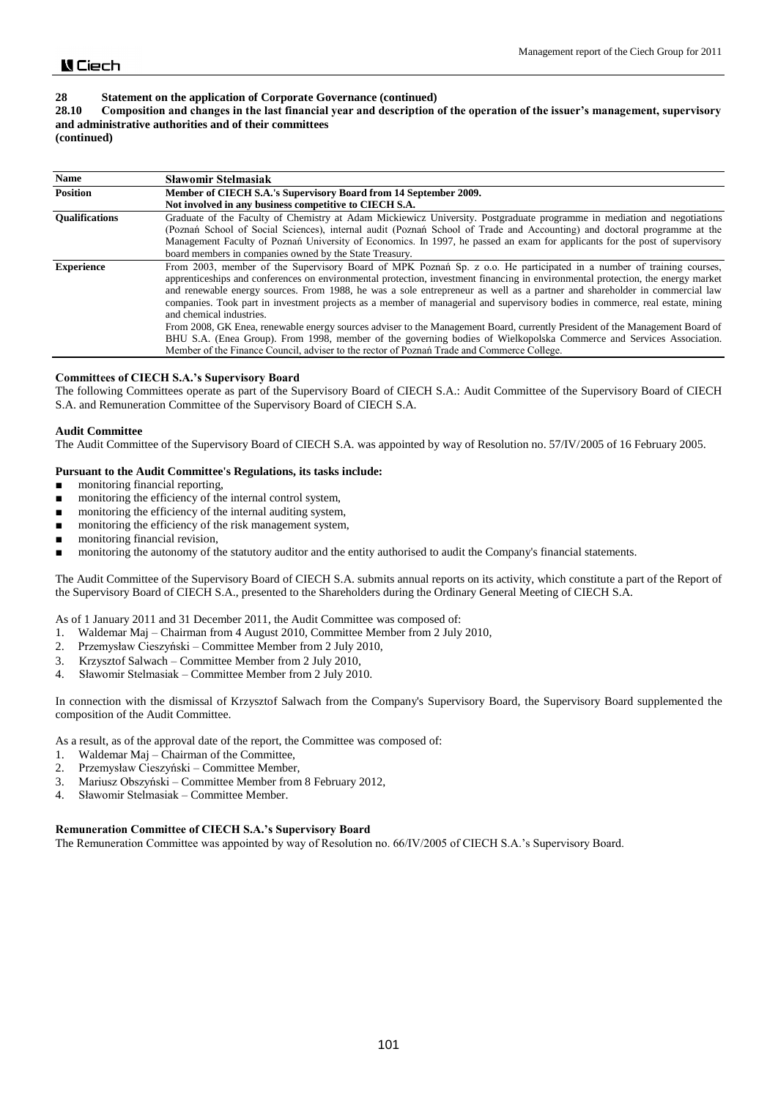# **28.10 Composition and changes in the last financial year and description of the operation of the issuer's management, supervisory and administrative authorities and of their committees**

**(continued)**

| <b>Name</b>           | <b>Slawomir Stelmasiak</b>                                                                                                                                                                                                                                                                                                                                                                                                                                                                                                                          |
|-----------------------|-----------------------------------------------------------------------------------------------------------------------------------------------------------------------------------------------------------------------------------------------------------------------------------------------------------------------------------------------------------------------------------------------------------------------------------------------------------------------------------------------------------------------------------------------------|
| <b>Position</b>       | Member of CIECH S.A.'s Supervisory Board from 14 September 2009.                                                                                                                                                                                                                                                                                                                                                                                                                                                                                    |
|                       | Not involved in any business competitive to CIECH S.A.                                                                                                                                                                                                                                                                                                                                                                                                                                                                                              |
| <b>Oualifications</b> | Graduate of the Faculty of Chemistry at Adam Mickiewicz University. Postgraduate programme in mediation and negotiations<br>(Poznań School of Social Sciences), internal audit (Poznań School of Trade and Accounting) and doctoral programme at the<br>Management Faculty of Poznań University of Economics. In 1997, he passed an exam for applicants for the post of supervisory<br>board members in companies owned by the State Treasury.                                                                                                      |
| <b>Experience</b>     | From 2003, member of the Supervisory Board of MPK Poznań Sp. z o.o. He participated in a number of training courses,<br>apprenticeships and conferences on environmental protection, investment financing in environmental protection, the energy market<br>and renewable energy sources. From 1988, he was a sole entrepreneur as well as a partner and shareholder in commercial law<br>companies. Took part in investment projects as a member of managerial and supervisory bodies in commerce, real estate, mining<br>and chemical industries. |
|                       | From 2008, GK Enea, renewable energy sources adviser to the Management Board, currently President of the Management Board of<br>BHU S.A. (Enea Group). From 1998, member of the governing bodies of Wielkopolska Commerce and Services Association.                                                                                                                                                                                                                                                                                                 |
|                       | Member of the Finance Council, adviser to the rector of Poznań Trade and Commerce College.                                                                                                                                                                                                                                                                                                                                                                                                                                                          |

### **Committees of CIECH S.A.'s Supervisory Board**

The following Committees operate as part of the Supervisory Board of CIECH S.A.: Audit Committee of the Supervisory Board of CIECH S.A. and Remuneration Committee of the Supervisory Board of CIECH S.A.

### **Audit Committee**

The Audit Committee of the Supervisory Board of CIECH S.A. was appointed by way of Resolution no. 57/IV/2005 of 16 February 2005.

### **Pursuant to the Audit Committee's Regulations, its tasks include:**

- monitoring financial reporting,
- monitoring the efficiency of the internal control system,
- monitoring the efficiency of the internal auditing system,
- monitoring the efficiency of the risk management system,
- monitoring financial revision,
- monitoring the autonomy of the statutory auditor and the entity authorised to audit the Company's financial statements.

The Audit Committee of the Supervisory Board of CIECH S.A. submits annual reports on its activity, which constitute a part of the Report of the Supervisory Board of CIECH S.A., presented to the Shareholders during the Ordinary General Meeting of CIECH S.A.

As of 1 January 2011 and 31 December 2011, the Audit Committee was composed of:

- 1. Waldemar Maj Chairman from 4 August 2010, Committee Member from 2 July 2010,
- 2. Przemysław Cieszyński Committee Member from 2 July 2010,
- 3. Krzysztof Salwach Committee Member from 2 July 2010,
- 4. Sławomir Stelmasiak Committee Member from 2 July 2010.

In connection with the dismissal of Krzysztof Salwach from the Company's Supervisory Board, the Supervisory Board supplemented the composition of the Audit Committee.

As a result, as of the approval date of the report, the Committee was composed of:

- 1. Waldemar Maj Chairman of the Committee,
- 2. Przemysław Cieszyński Committee Member,
- 3. Mariusz Obszyński Committee Member from 8 February 2012,
- 4. Sławomir Stelmasiak Committee Member.

#### **Remuneration Committee of CIECH S.A.'s Supervisory Board**

The Remuneration Committee was appointed by way of Resolution no. 66/IV/2005 of CIECH S.A.'s Supervisory Board.